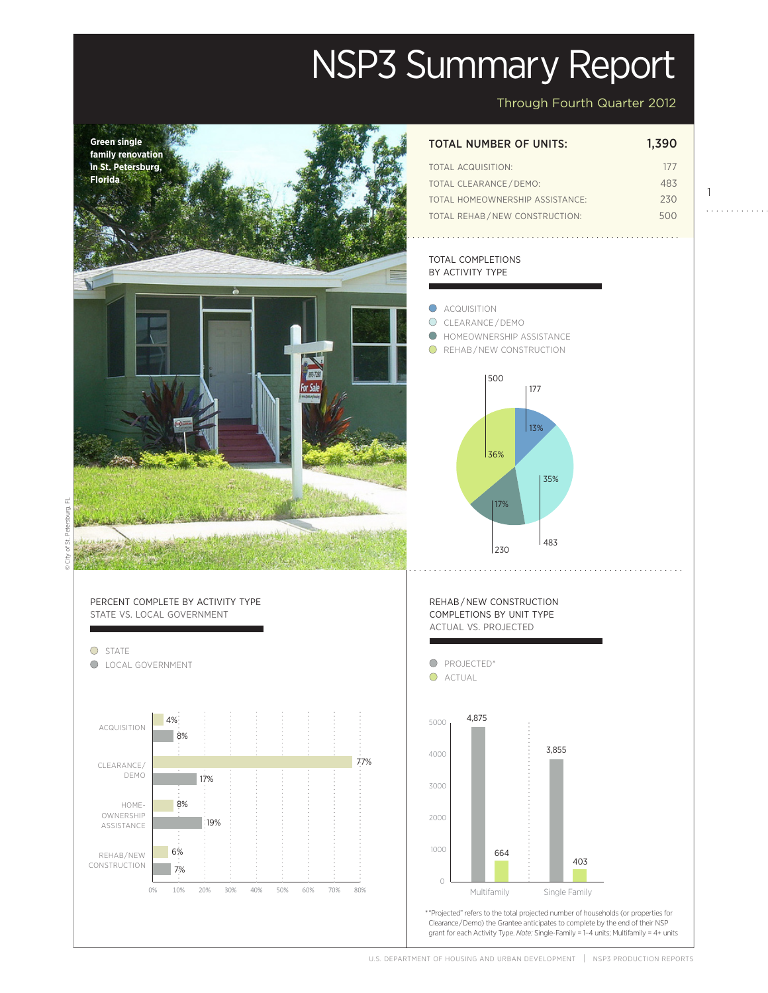# NSP3 Summary Report

Through Fourth Quarter 2012

1

a a a a a a a a



U.S. DEPARTMENT OF HOUSING AND URBAN DEVELOPMENT | NSP3 PRODUCTION REPORTS

Actual

Projected and the set of the set of the set of the set of the set of the set of the set of the set of the set o<br>Projected and the set of the set of the set of the set of the set of the set of the set of the set of the set

Projected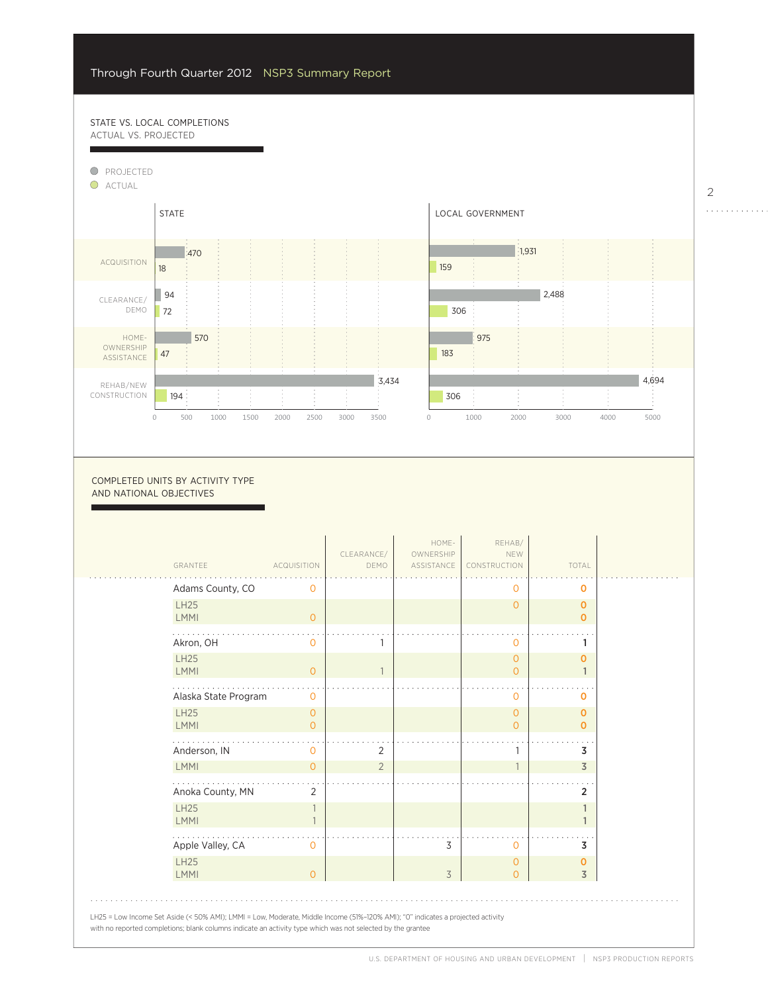# STATE VS. LOCAL COMPLETIONS ACTUAL VS. PROJECTED

8%

7%



0

2000

COMPLETED UNITS BY ACTIVITY TYPE AND NATIONAL OBJECTIVES

| GRANTEE                    | <b>ACQUISITION</b>         | CLEARANCE/<br>DEMO | HOME-<br>OWNERSHIP<br>ASSISTANCE | REHAB/<br>NEW<br>CONSTRUCTION    | TOTAL                       |
|----------------------------|----------------------------|--------------------|----------------------------------|----------------------------------|-----------------------------|
| Adams County, CO           | 0                          |                    |                                  | 0                                | 0                           |
| <b>LH25</b><br><b>LMMI</b> | $\overline{0}$             |                    |                                  | $\circ$                          | $\mathbf 0$<br>$\mathbf{O}$ |
| Akron, OH                  | $\Omega$                   |                    |                                  | $\overline{0}$                   | 1                           |
| <b>LH25</b><br><b>LMMI</b> | $\overline{O}$             |                    |                                  | $\overline{O}$<br>$\circ$        | 0                           |
| Alaska State Program       | $\circ$                    |                    |                                  | $\circ$                          | 0                           |
| <b>LH25</b><br><b>LMMI</b> | $\overline{O}$<br>$\Omega$ |                    |                                  | $\overline{0}$<br>$\circ$        | 0<br>O                      |
| Anderson, IN               | $\circ$                    | $\overline{2}$     |                                  | 1                                | 3                           |
| <b>LMMI</b>                | $\Omega$                   | $\overline{2}$     |                                  | $\overline{1}$                   | $\overline{3}$              |
| Anoka County, MN           | 2                          |                    |                                  |                                  | $\overline{2}$              |
| <b>LH25</b><br><b>LMMI</b> |                            |                    |                                  |                                  |                             |
| Apple Valley, CA           | $\Omega$                   |                    | 3                                | $\circ$                          | 3                           |
| <b>LH25</b><br><b>LMMI</b> | $\Omega$                   |                    | $\overline{3}$                   | $\overline{0}$<br>$\overline{O}$ | 0<br>$\overline{3}$         |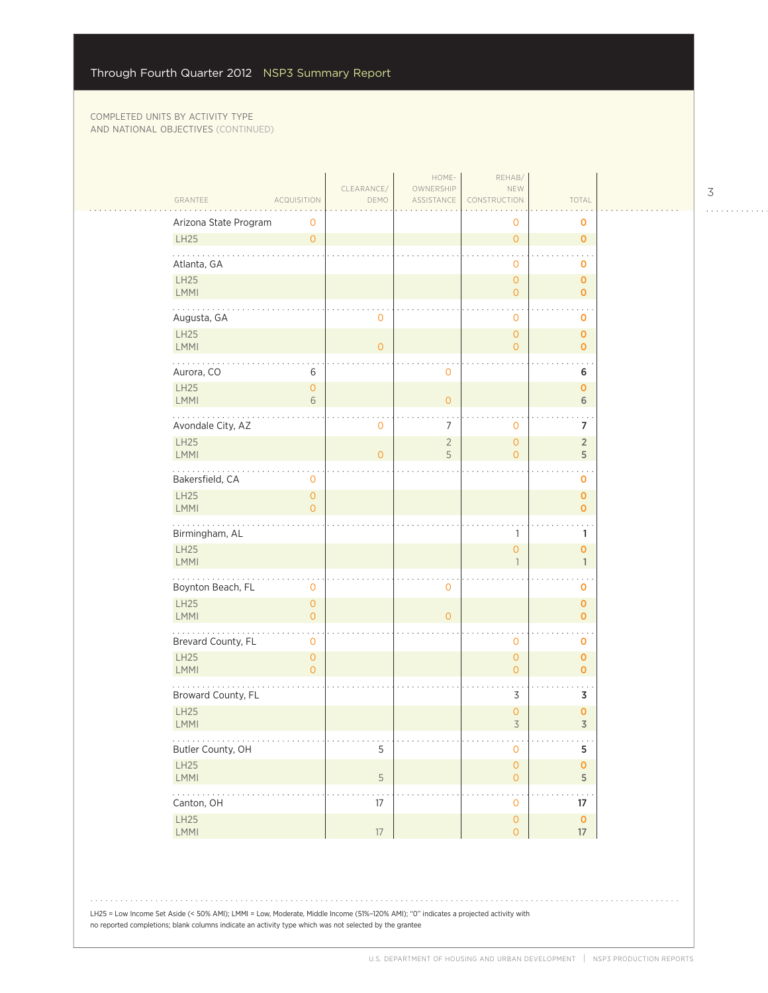|                                                                                          |                                       | CLEARANCE/     | HOME-<br>OWNERSHIP  | REHAB/                                |                              |  |
|------------------------------------------------------------------------------------------|---------------------------------------|----------------|---------------------|---------------------------------------|------------------------------|--|
| GRANTEE                                                                                  | <b>ACQUISITION</b>                    | DEMO           | ASSISTANCE          | NEW<br>CONSTRUCTION                   | TOTAL                        |  |
| Arizona State Program                                                                    | 0                                     |                |                     | 0                                     | o                            |  |
| LH25                                                                                     | $\overline{O}$                        |                |                     | $\overline{O}$                        | $\mathbf 0$                  |  |
| Atlanta, GA                                                                              |                                       |                |                     | $\mathbf 0$                           | 0                            |  |
| LH25<br><b>LMMI</b>                                                                      |                                       |                |                     | $\mathsf{O}\xspace$<br>$\overline{O}$ | $\mathbf{O}$<br>$\mathbf{o}$ |  |
| Augusta, GA                                                                              |                                       | 0              |                     | 0                                     | o                            |  |
| LH25<br>LMMI                                                                             |                                       | $\overline{O}$ |                     | $\overline{0}$<br>$\mathbf{0}$        | $\mathbf 0$<br>$\mathbf 0$   |  |
| $\mathbf{1}$ , $\mathbf{1}$ , $\mathbf{1}$ , $\mathbf{1}$ , $\mathbf{1}$ ,<br>Aurora, CO | 6                                     |                | $\mathbf 0$         |                                       | 6                            |  |
| LH25<br>LMMI                                                                             | $\mathsf{O}\xspace$<br>6              |                | $\overline{O}$      |                                       | $\mathbf{o}$<br>6            |  |
| Avondale City, AZ                                                                        |                                       | 0              | $\overline{7}$      | 0                                     | $\overline{7}$               |  |
| LH25<br>LMMI                                                                             |                                       | $\overline{O}$ | $\overline{2}$<br>5 | $\overline{0}$<br>$\overline{O}$      | $\overline{2}$<br>5          |  |
| .<br>Bakersfield, CA                                                                     | 0                                     |                |                     |                                       | 0                            |  |
| LH25<br><b>LMMI</b>                                                                      | $\mathsf{O}\xspace$<br>$\overline{0}$ |                |                     |                                       | 0<br>$\mathbf 0$             |  |
| Birmingham, AL                                                                           |                                       |                |                     | 1                                     | $\mathbf{1}$                 |  |
| <b>LH25</b><br>LMMI                                                                      |                                       |                |                     | $\overline{0}$<br>$\mathbf{1}$        | 0<br>$\mathbf{1}$            |  |
| Boynton Beach, FL                                                                        | 0                                     |                | $\mathbf 0$         |                                       | 0                            |  |
| LH25<br>LMMI                                                                             | $\overline{0}$<br>$\overline{0}$      |                | $\circ$             |                                       | $\mathbf 0$<br>$\mathbf{o}$  |  |
| Brevard County, FL                                                                       | 0                                     |                |                     | 0                                     | $\mathbf 0$                  |  |
| LH25<br>LMMI                                                                             | $\mathsf{O}\xspace$<br>$\overline{0}$ |                |                     | $\overline{0}$<br>$\overline{O}$      | $\mathbf 0$<br>$\mathbf 0$   |  |
| Broward County, FL                                                                       |                                       |                |                     | 3                                     | 3                            |  |
| <b>LH25</b><br>LMMI                                                                      |                                       |                |                     | 0<br>$\overline{3}$                   | 0<br>$\overline{3}$          |  |
| .<br>Butler County, OH                                                                   |                                       | 5              |                     | $\mathsf{O}\xspace$                   | $\sim$ $\sim$<br>5           |  |
| LH25<br>LMMI                                                                             |                                       | 5              |                     | $\mathsf{O}\xspace$<br>$\overline{0}$ | $\mathbf 0$<br>5             |  |
| 2.12.12.1<br>Canton, OH                                                                  |                                       | $17\,$         |                     | 0                                     | 17                           |  |
| LH25<br>LMMI                                                                             |                                       | 17             |                     | $\mathsf{O}\xspace$<br>$\overline{0}$ | $\mathbf 0$<br>$17\,$        |  |

LH25 = Low Income Set Aside (< 50% AMI); LMMI = Low, Moderate, Middle Income (51%–120% AMI); "0" indicates a projected activity with no reported completions; blank columns indicate an activity type which was not selected by the grantee

 $\begin{array}{cccccccccccccc} . & . & . & . & . & . & . & . & . & . & . & . & . \end{array}$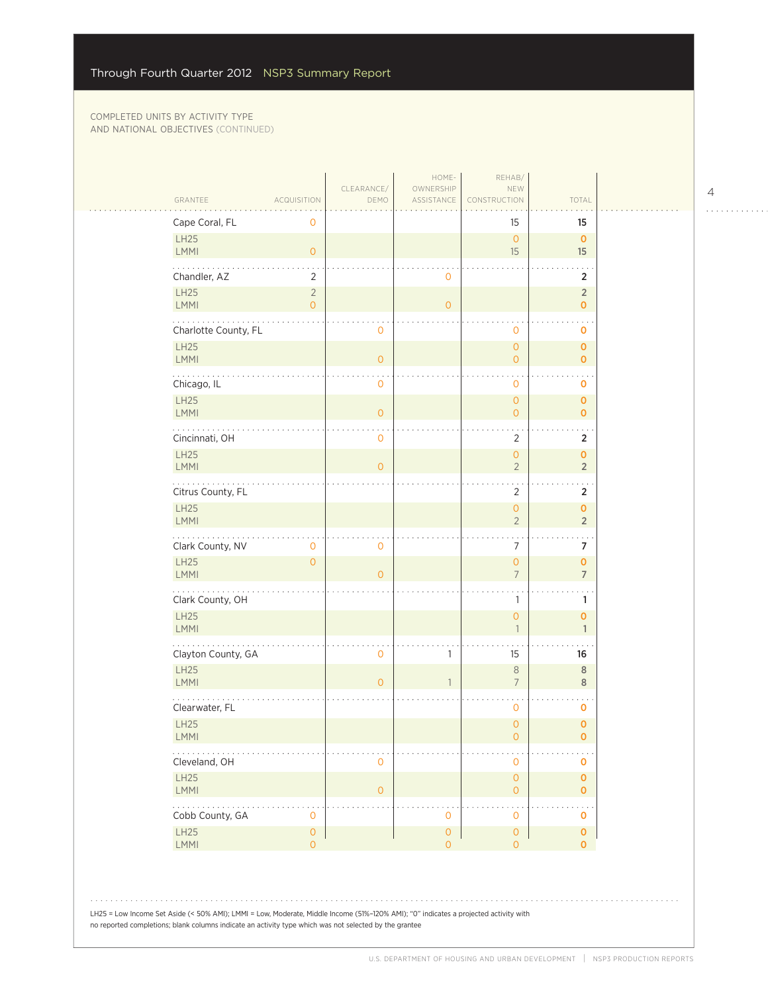| GRANTEE<br>Cape Coral, FL   | <b>ACQUISITION</b><br>0          | DEMO           | ASSISTANCE                | CONSTRUCTION<br>15                    | TOTAL<br>15                          |
|-----------------------------|----------------------------------|----------------|---------------------------|---------------------------------------|--------------------------------------|
| LH25<br>LMMI                | $\mathsf O$                      |                |                           | $\mathsf{O}$<br>15                    | $\mathbf 0$<br>15                    |
| Chandler, AZ                | $\overline{2}$                   |                | $\mathbf 0$               |                                       | $\overline{2}$                       |
| LH25<br><b>LMMI</b>         | $\overline{2}$<br>$\overline{O}$ |                | $\overline{O}$            |                                       | $\overline{2}$<br>$\pmb{\mathsf{O}}$ |
| .<br>Charlotte County, FL   |                                  | $\mathbf 0$    |                           | $\mathbf 0$                           | 0                                    |
| LH25<br><b>LMMI</b>         |                                  | $\mathbf{O}$   |                           | $\mathsf{O}\xspace$<br>$\overline{O}$ | $\mathbf 0$<br>$\mathbf 0$           |
| Chicago, IL                 |                                  | $\mathbf 0$    |                           | $\mathbf 0$                           | o                                    |
| LH25<br><b>LMMI</b>         |                                  | $\circ$        |                           | $\mathbf{O}$<br>$\overline{O}$        | $\mathbf 0$<br>$\mathbf 0$           |
| Cincinnati, OH              |                                  | $\overline{0}$ |                           | $\overline{2}$                        | $\overline{2}$                       |
| <b>LH25</b><br><b>LMMI</b>  |                                  | $\overline{0}$ |                           | $\mathsf{O}\xspace$<br>$\overline{2}$ | $\mathbf 0$<br>$\overline{2}$        |
| Citrus County, FL           |                                  |                |                           | 2                                     | $\overline{2}$                       |
| LH25<br>LMMI                |                                  |                |                           | $\mathsf{O}\xspace$<br>$\overline{2}$ | $\pmb{\mathsf{O}}$<br>$\overline{2}$ |
| Clark County, NV            | 0                                | $\mathbf 0$    |                           | 7                                     | $\sim$<br>$\overline{7}$             |
| LH25<br><b>LMMI</b>         | $\overline{0}$                   | $\overline{0}$ |                           | $\mathsf{O}\xspace$<br>$\overline{7}$ | $\pmb{0}$<br>$\overline{7}$          |
| .<br>Clark County, OH       |                                  |                |                           | 1                                     | 1                                    |
| LH25<br><b>LMMI</b>         |                                  |                |                           | $\overline{O}$<br>$\mathbf{1}$        | 0<br>$\mathbf{1}$                    |
| Clayton County, GA          |                                  | $\mathbf 0$    | 1                         | 15                                    | 16                                   |
| <b>LH25</b><br><b>LMMI</b>  |                                  | $\overline{0}$ | $\overline{1}$            | $\, 8$<br>$\overline{7}$              | 8<br>8                               |
| Clearwater, FL              |                                  |                |                           | $\mathbf 0$                           | 0                                    |
| LH25<br><b>LMMI</b>         |                                  |                |                           | $\mathbf{O}$<br>0                     | $\mathbf 0$<br>0                     |
| Cleveland, OH               |                                  | $\mathbf 0$    |                           | $\mathbf 0$                           | 0                                    |
| LH25<br><b>LMMI</b>         |                                  | $\mathbf{0}$   |                           | $\mathbf{0}$<br>$\overline{0}$        | $\mathbf 0$<br>0                     |
| $\cdots$<br>Cobb County, GA | 0                                |                | 0                         | $\mathbf 0$                           | $\ddotsc$<br>0                       |
| LH25<br><b>LMMI</b>         | $\mathsf{O}\xspace$<br>$\circ$   |                | $\circ$<br>$\overline{O}$ | $\theta$<br>$\overline{O}$            | $\pmb{\mathsf{O}}$<br>0              |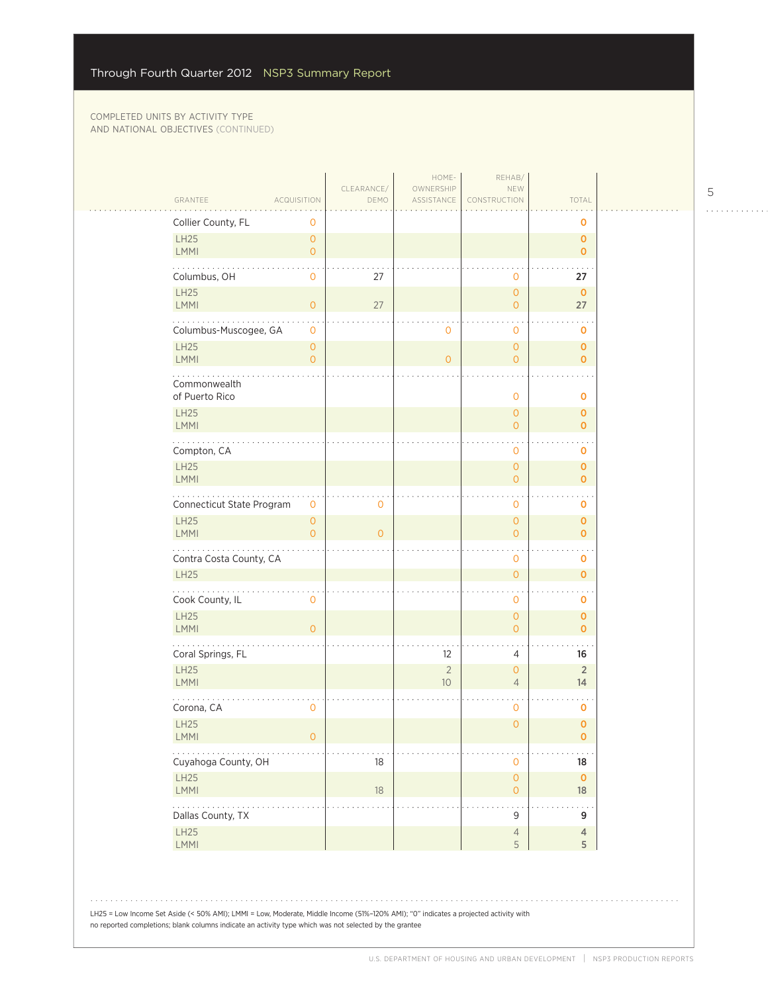$\mathcal{L}_{\mathcal{A}}$ 

| GRANTEE                                                                                                                                                                                                                                                                                                                                                                                                                                                                          | <b>ACQUISITION</b>        | CLEARANCE/<br>DEMO | HOME-<br>OWNERSHIP<br>ASSISTANCE | REHAB/<br>NEW<br>CONSTRUCTION              | TOTAL                             |
|----------------------------------------------------------------------------------------------------------------------------------------------------------------------------------------------------------------------------------------------------------------------------------------------------------------------------------------------------------------------------------------------------------------------------------------------------------------------------------|---------------------------|--------------------|----------------------------------|--------------------------------------------|-----------------------------------|
| Collier County, FL                                                                                                                                                                                                                                                                                                                                                                                                                                                               | 0                         |                    |                                  |                                            | O                                 |
| LH25<br><b>LMMI</b>                                                                                                                                                                                                                                                                                                                                                                                                                                                              | $\circ$<br>$\circ$        |                    |                                  |                                            | $\pmb{0}$<br>$\mathbf{O}$         |
| Columbus, OH                                                                                                                                                                                                                                                                                                                                                                                                                                                                     | $\mathbf 0$               | 27                 |                                  | $\mathbf 0$                                | 27                                |
| <b>LH25</b><br><b>LMMI</b>                                                                                                                                                                                                                                                                                                                                                                                                                                                       | $\overline{O}$            | 27                 |                                  | $\overline{0}$<br>$\overline{0}$           | $\mathbf 0$<br>27                 |
| Columbus-Muscogee, GA                                                                                                                                                                                                                                                                                                                                                                                                                                                            | $\mathbf 0$               |                    | $\mathbf 0$                      | 0                                          | 0                                 |
| LH25<br>LMMI                                                                                                                                                                                                                                                                                                                                                                                                                                                                     | $\circ$<br>$\overline{O}$ |                    | $\overline{O}$                   | $\overline{0}$<br>$\mathbf 0$              | $\mathbf 0$<br>$\mathbf{O}$       |
| Commonwealth<br>of Puerto Rico                                                                                                                                                                                                                                                                                                                                                                                                                                                   |                           |                    |                                  | $\mathbf 0$                                | $\mathbf 0$                       |
| <b>LH25</b><br><b>LMMI</b>                                                                                                                                                                                                                                                                                                                                                                                                                                                       |                           |                    |                                  | $\overline{0}$<br>$\overline{0}$           | $\mathbf 0$<br>$\mathbf{O}$       |
| Compton, CA                                                                                                                                                                                                                                                                                                                                                                                                                                                                      |                           |                    |                                  | 0                                          | 0                                 |
| LH25<br>LMMI                                                                                                                                                                                                                                                                                                                                                                                                                                                                     |                           |                    |                                  | $\overline{0}$<br>$\overline{0}$           | $\mathbf 0$<br>$\mathbf{O}$       |
| Connecticut State Program                                                                                                                                                                                                                                                                                                                                                                                                                                                        | 0                         | $\mathbf 0$        |                                  | 0                                          | 0                                 |
| <b>LH25</b><br><b>LMMI</b>                                                                                                                                                                                                                                                                                                                                                                                                                                                       | $\circ$<br>$\overline{O}$ | $\overline{O}$     |                                  | $\overline{0}$<br>$\overline{0}$           | $\pmb{0}$<br>$\mathbf{O}$         |
| Contra Costa County, CA<br><b>LH25</b>                                                                                                                                                                                                                                                                                                                                                                                                                                           |                           |                    |                                  | 0<br>$\overline{O}$                        | $\mathbf 0$<br>$\mathbf 0$        |
|                                                                                                                                                                                                                                                                                                                                                                                                                                                                                  |                           |                    |                                  |                                            |                                   |
| Cook County, IL<br><b>LH25</b>                                                                                                                                                                                                                                                                                                                                                                                                                                                   | $\mathbf 0$               |                    |                                  | 0<br>$\overline{O}$                        | $\mathbf 0$<br>$\mathbf 0$        |
| <b>LMMI</b><br>Coral Springs, FL                                                                                                                                                                                                                                                                                                                                                                                                                                                 | $\overline{O}$            |                    | 12                               | $\overline{0}$<br>4                        | $\mathbf 0$<br>16                 |
| <b>LH25</b><br>LMMI                                                                                                                                                                                                                                                                                                                                                                                                                                                              |                           |                    | $\overline{2}$<br>10             | $\overline{O}$<br>$\overline{4}$           | $\sqrt{2}$<br>14                  |
| Corona, CA                                                                                                                                                                                                                                                                                                                                                                                                                                                                       | $\mathbf 0$               |                    |                                  | 0                                          | 0                                 |
| LH25<br>LMMI                                                                                                                                                                                                                                                                                                                                                                                                                                                                     | $\mathsf{O}\xspace$       |                    |                                  | $\overline{O}$                             | $\mathbf 0$<br>$\pmb{\mathsf{O}}$ |
| $\sim$ $\sim$ $\sim$<br>Cuyahoga County, OH                                                                                                                                                                                                                                                                                                                                                                                                                                      |                           | 18                 |                                  | $\mathbf 0$                                | 18                                |
| LH25<br><b>LMMI</b>                                                                                                                                                                                                                                                                                                                                                                                                                                                              |                           | $18\,$             |                                  | $\mathsf{O}\xspace$<br>$\mathsf{O}\xspace$ | $\mathbf 0$<br>18                 |
| $\mathcal{L}(\mathcal{L}(\mathcal{L}(\mathcal{L}(\mathcal{L}(\mathcal{L}(\mathcal{L}(\mathcal{L}(\mathcal{L}(\mathcal{L}(\mathcal{L}(\mathcal{L}(\mathcal{L}(\mathcal{L}(\mathcal{L}(\mathcal{L}(\mathcal{L}(\mathcal{L}(\mathcal{L}(\mathcal{L}(\mathcal{L}(\mathcal{L}(\mathcal{L}(\mathcal{L}(\mathcal{L}(\mathcal{L}(\mathcal{L}(\mathcal{L}(\mathcal{L}(\mathcal{L}(\mathcal{L}(\mathcal{L}(\mathcal{L}(\mathcal{L}(\mathcal{L}(\mathcal{L}(\mathcal{$<br>Dallas County, TX |                           |                    |                                  | 9                                          | 9                                 |
| LH25<br>LMMI                                                                                                                                                                                                                                                                                                                                                                                                                                                                     |                           |                    |                                  | $\sqrt{4}$<br>5                            | $\overline{4}$<br>5               |

LH25 = Low Income Set Aside (< 50% AMI); LMMI = Low, Moderate, Middle Income (51%–120% AMI); "0" indicates a projected activity with no reported completions; blank columns indicate an activity type which was not selected by the grantee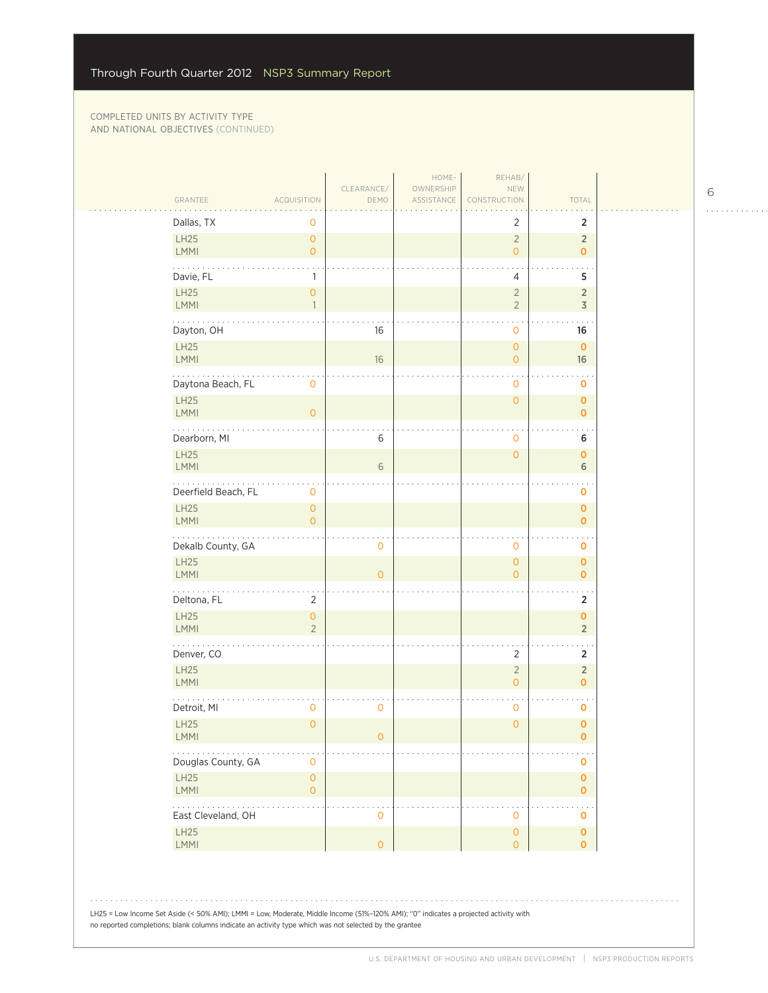| GRANTEE                                                                                                                                                                                                                                        | ACQUISITION                                | CLEARANCE/<br>DEMO | HOME-<br>OWNERSHIP<br>ASSISTANCE | REHAB/<br>NEW<br>CONSTRUCTION    | TOTAL                          |  |
|------------------------------------------------------------------------------------------------------------------------------------------------------------------------------------------------------------------------------------------------|--------------------------------------------|--------------------|----------------------------------|----------------------------------|--------------------------------|--|
| Dallas, TX                                                                                                                                                                                                                                     | 0                                          |                    |                                  | $\overline{2}$                   | 2                              |  |
| LH25<br><b>LMMI</b>                                                                                                                                                                                                                            | $\overline{0}$<br>$\overline{O}$           |                    |                                  | $\overline{2}$<br>$\overline{O}$ | $\overline{2}$<br>$\mathbf{O}$ |  |
| Davie, FL<br><b>LH25</b>                                                                                                                                                                                                                       | $\mathbf{1}$<br>$\overline{0}$             |                    |                                  | 4<br>$\overline{2}$              | 5<br>$\overline{2}$            |  |
| LMMI                                                                                                                                                                                                                                           | $\mathbf{1}$                               |                    |                                  | $\overline{2}$                   | 3                              |  |
| Dayton, OH                                                                                                                                                                                                                                     |                                            | 16                 |                                  | 0                                | 16                             |  |
| LH25<br><b>LMMI</b>                                                                                                                                                                                                                            |                                            | 16                 |                                  | $\overline{0}$<br>$\overline{O}$ | $\mathbf 0$<br>16              |  |
| .<br>Daytona Beach, FL                                                                                                                                                                                                                         | $\mathbf 0$                                |                    |                                  | 0                                | $\sim$<br>$\mathbf 0$          |  |
| LH25<br>LMMI                                                                                                                                                                                                                                   | $\overline{O}$                             |                    |                                  | $\mathsf{O}\xspace$              | $\mathbf 0$<br>$\mathbf{O}$    |  |
| Dearborn, MI                                                                                                                                                                                                                                   |                                            | 6                  |                                  | 0                                | 6                              |  |
| LH25<br><b>LMMI</b>                                                                                                                                                                                                                            |                                            | 6                  |                                  | $\overline{0}$                   | $\mathbf{O}$<br>6              |  |
| .<br>Deerfield Beach, FL                                                                                                                                                                                                                       | $\mathbf 0$                                |                    |                                  |                                  | 0                              |  |
| LH25<br><b>LMMI</b>                                                                                                                                                                                                                            | $\overline{O}$<br>$\overline{O}$           |                    |                                  |                                  | $\mathbf{O}$<br>$\mathbf 0$    |  |
| Dekalb County, GA                                                                                                                                                                                                                              |                                            | 0                  |                                  | 0                                | $\mathbf 0$                    |  |
| LH25<br><b>LMMI</b>                                                                                                                                                                                                                            |                                            | $\overline{0}$     |                                  | $\overline{0}$<br>$\overline{O}$ | $\mathbf 0$<br>$\mathbf{O}$    |  |
| Deltona, FL                                                                                                                                                                                                                                    | $\overline{2}$                             |                    |                                  |                                  | 2                              |  |
| <b>LH25</b><br><b>LMMI</b>                                                                                                                                                                                                                     | $\mathsf{O}\xspace$<br>$\overline{2}$      |                    |                                  |                                  | $\mathbf{O}$<br>$\overline{2}$ |  |
| Denver, CO                                                                                                                                                                                                                                     |                                            |                    |                                  | $\overline{2}$                   | $\overline{2}$                 |  |
| LH25<br><b>LMMI</b>                                                                                                                                                                                                                            |                                            |                    |                                  | $\sqrt{2}$<br>$\overline{O}$     | $\overline{2}$<br>$\mathbf{O}$ |  |
| Detroit, MI                                                                                                                                                                                                                                    | 0                                          | 0                  |                                  | 0                                | $\mathbf 0$                    |  |
| LH25<br><b>LMMI</b>                                                                                                                                                                                                                            | $\mathbf{O}$                               | 0                  |                                  | $\overline{O}$                   | $\pmb{0}$<br>0                 |  |
| Douglas County, GA                                                                                                                                                                                                                             | $\mathbf 0$                                |                    |                                  |                                  | $\mathbf 0$                    |  |
| <b>LH25</b><br><b>LMMI</b>                                                                                                                                                                                                                     | $\mathsf{O}\xspace$<br>$\mathsf{O}\xspace$ |                    |                                  |                                  | $\mathbf 0$<br>$\mathbf{O}$    |  |
| .<br>East Cleveland, OH                                                                                                                                                                                                                        |                                            | 0                  |                                  | 0                                | 0                              |  |
| LH25<br>LMMI                                                                                                                                                                                                                                   |                                            | $\overline{0}$     |                                  | $\overline{0}$<br>$\overline{O}$ | $\mathbf 0$<br>$\mathbf{O}$    |  |
| LH25 = Low Income Set Aside (< 50% AMI); LMMI = Low, Moderate, Middle Income (51%-120% AMI); "0" indicates a projected activity with<br>no reported completions; blank columns indicate an activity type which was not selected by the grantee |                                            |                    |                                  |                                  |                                |  |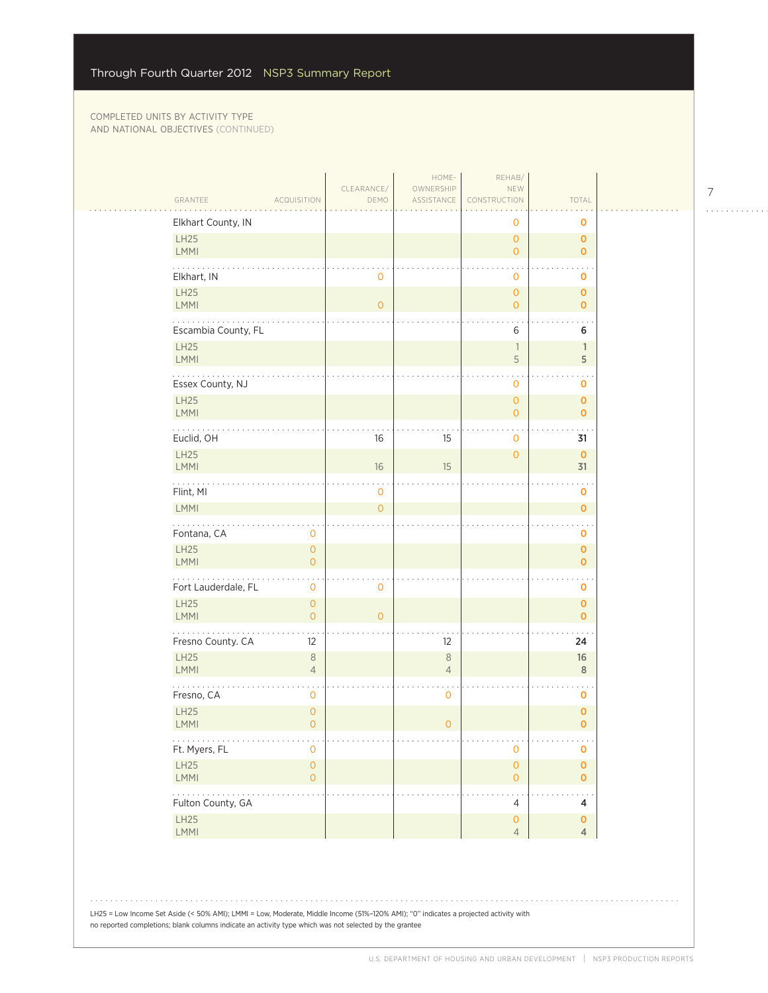| Elkhart County, IN<br>$\mathbf 0$<br>$\mathbf 0$<br>LH25<br>$\mathbf{O}$<br>$\mathbf{0}$<br><b>LMMI</b><br>$\overline{0}$<br>$\overline{0}$<br>Elkhart, IN<br>$\mathbf 0$<br>$\overline{0}$<br>$\mathbf 0$<br>LH25<br>$\overline{O}$<br>$\mathbf{O}$<br><b>LMMI</b><br>$\overline{0}$<br>$\overline{0}$<br>$\mathbf{0}$<br>Escambia County, FL<br>6<br>6<br>LH25<br>$\overline{1}$<br>$\mathbf{1}$<br><b>LMMI</b><br>5<br>5<br>Essex County, NJ<br>$\mathbf 0$<br>$\mathbf 0$<br>LH25<br>$\mathbf{O}$<br>$\mathbf{O}$<br><b>LMMI</b><br>$\circ$<br>$\mathbf{0}$<br>Euclid, OH<br>16<br>15<br>$\mathbf 0$<br>31<br>LH25<br>$\mathbf{O}$<br>$\mathbf{O}$<br><b>LMMI</b><br>16<br>15<br>31<br>Flint, MI<br>$\mathsf{O}\xspace$<br>$\mathbf 0$<br>LMMI<br>$\overline{O}$<br>$\overline{0}$<br>Fontana, CA<br>$\mathbf 0$<br>0<br>LH25<br>$\circ$<br>$\mathbf{O}$<br>LMMI<br>$\overline{O}$<br>$\mathbf{O}$<br>Fort Lauderdale, FL<br>$\mathbf 0$<br>$\mathbf 0$<br>0<br>LH25<br>$\circ$<br>$\mathbf{O}$<br><b>LMMI</b><br>$\overline{O}$<br>$\mathbf{O}$<br>$\mathbf{O}$<br>$\frac{1}{2} \left( \frac{1}{2} \left( \frac{1}{2} \left( \frac{1}{2} \left( \frac{1}{2} \right) \right) \right) + \frac{1}{2} \left( \frac{1}{2} \left( \frac{1}{2} \left( \frac{1}{2} \right) \right) \right) \right)$<br>Fresno County. CA<br>12<br>12<br>24<br>LH25<br>$\,8\,$<br>$\,8\,$<br>16<br><b>LMMI</b><br>$\overline{4}$<br>$\overline{4}$<br>8<br>Fresno, CA<br>$\mathbf 0$<br>$\mathbf 0$<br>$\mathbf 0$<br>LH25<br>$\mathbf{O}$<br>$\mathbf 0$<br><b>LMMI</b><br>$\overline{O}$<br>$\circ$<br>$\mathbf{O}$<br>.<br>Ft. Myers, FL<br>$\mathbf 0$<br>$\mathbf 0$<br>0<br>LH25<br>$\mathsf{O}\xspace$<br>$\mathsf{O}\xspace$<br>$\mathbf 0$<br>LMMI<br>$\mathsf O$<br>$\mathsf{O}\xspace$<br>$\overline{0}$<br>$\mathbb{Z}$ . The set of $\mathbb{Z}$<br>Fulton County, GA<br>$\overline{4}$<br>4<br>LH25<br>$\circ$<br>$\mathbf 0$ | GRANTEE<br><b>ACQUISITION</b> | CLEARANCE/<br>DEMO | HOME-<br>OWNERSHIP<br>ASSISTANCE | REHAB/<br>NEW<br>CONSTRUCTION | TOTAL          |  |
|-------------------------------------------------------------------------------------------------------------------------------------------------------------------------------------------------------------------------------------------------------------------------------------------------------------------------------------------------------------------------------------------------------------------------------------------------------------------------------------------------------------------------------------------------------------------------------------------------------------------------------------------------------------------------------------------------------------------------------------------------------------------------------------------------------------------------------------------------------------------------------------------------------------------------------------------------------------------------------------------------------------------------------------------------------------------------------------------------------------------------------------------------------------------------------------------------------------------------------------------------------------------------------------------------------------------------------------------------------------------------------------------------------------------------------------------------------------------------------------------------------------------------------------------------------------------------------------------------------------------------------------------------------------------------------------------------------------------------------------------------------------------------------------------------------------------------------------------------------------------------------------------------------------------------|-------------------------------|--------------------|----------------------------------|-------------------------------|----------------|--|
|                                                                                                                                                                                                                                                                                                                                                                                                                                                                                                                                                                                                                                                                                                                                                                                                                                                                                                                                                                                                                                                                                                                                                                                                                                                                                                                                                                                                                                                                                                                                                                                                                                                                                                                                                                                                                                                                                                                         |                               |                    |                                  |                               |                |  |
|                                                                                                                                                                                                                                                                                                                                                                                                                                                                                                                                                                                                                                                                                                                                                                                                                                                                                                                                                                                                                                                                                                                                                                                                                                                                                                                                                                                                                                                                                                                                                                                                                                                                                                                                                                                                                                                                                                                         |                               |                    |                                  |                               |                |  |
|                                                                                                                                                                                                                                                                                                                                                                                                                                                                                                                                                                                                                                                                                                                                                                                                                                                                                                                                                                                                                                                                                                                                                                                                                                                                                                                                                                                                                                                                                                                                                                                                                                                                                                                                                                                                                                                                                                                         |                               |                    |                                  |                               |                |  |
|                                                                                                                                                                                                                                                                                                                                                                                                                                                                                                                                                                                                                                                                                                                                                                                                                                                                                                                                                                                                                                                                                                                                                                                                                                                                                                                                                                                                                                                                                                                                                                                                                                                                                                                                                                                                                                                                                                                         |                               |                    |                                  |                               |                |  |
|                                                                                                                                                                                                                                                                                                                                                                                                                                                                                                                                                                                                                                                                                                                                                                                                                                                                                                                                                                                                                                                                                                                                                                                                                                                                                                                                                                                                                                                                                                                                                                                                                                                                                                                                                                                                                                                                                                                         |                               |                    |                                  |                               |                |  |
|                                                                                                                                                                                                                                                                                                                                                                                                                                                                                                                                                                                                                                                                                                                                                                                                                                                                                                                                                                                                                                                                                                                                                                                                                                                                                                                                                                                                                                                                                                                                                                                                                                                                                                                                                                                                                                                                                                                         |                               |                    |                                  |                               |                |  |
|                                                                                                                                                                                                                                                                                                                                                                                                                                                                                                                                                                                                                                                                                                                                                                                                                                                                                                                                                                                                                                                                                                                                                                                                                                                                                                                                                                                                                                                                                                                                                                                                                                                                                                                                                                                                                                                                                                                         |                               |                    |                                  |                               |                |  |
|                                                                                                                                                                                                                                                                                                                                                                                                                                                                                                                                                                                                                                                                                                                                                                                                                                                                                                                                                                                                                                                                                                                                                                                                                                                                                                                                                                                                                                                                                                                                                                                                                                                                                                                                                                                                                                                                                                                         |                               |                    |                                  |                               |                |  |
|                                                                                                                                                                                                                                                                                                                                                                                                                                                                                                                                                                                                                                                                                                                                                                                                                                                                                                                                                                                                                                                                                                                                                                                                                                                                                                                                                                                                                                                                                                                                                                                                                                                                                                                                                                                                                                                                                                                         |                               |                    |                                  |                               |                |  |
|                                                                                                                                                                                                                                                                                                                                                                                                                                                                                                                                                                                                                                                                                                                                                                                                                                                                                                                                                                                                                                                                                                                                                                                                                                                                                                                                                                                                                                                                                                                                                                                                                                                                                                                                                                                                                                                                                                                         |                               |                    |                                  |                               |                |  |
|                                                                                                                                                                                                                                                                                                                                                                                                                                                                                                                                                                                                                                                                                                                                                                                                                                                                                                                                                                                                                                                                                                                                                                                                                                                                                                                                                                                                                                                                                                                                                                                                                                                                                                                                                                                                                                                                                                                         |                               |                    |                                  |                               |                |  |
|                                                                                                                                                                                                                                                                                                                                                                                                                                                                                                                                                                                                                                                                                                                                                                                                                                                                                                                                                                                                                                                                                                                                                                                                                                                                                                                                                                                                                                                                                                                                                                                                                                                                                                                                                                                                                                                                                                                         |                               |                    |                                  |                               |                |  |
|                                                                                                                                                                                                                                                                                                                                                                                                                                                                                                                                                                                                                                                                                                                                                                                                                                                                                                                                                                                                                                                                                                                                                                                                                                                                                                                                                                                                                                                                                                                                                                                                                                                                                                                                                                                                                                                                                                                         |                               |                    |                                  |                               |                |  |
|                                                                                                                                                                                                                                                                                                                                                                                                                                                                                                                                                                                                                                                                                                                                                                                                                                                                                                                                                                                                                                                                                                                                                                                                                                                                                                                                                                                                                                                                                                                                                                                                                                                                                                                                                                                                                                                                                                                         |                               |                    |                                  |                               |                |  |
|                                                                                                                                                                                                                                                                                                                                                                                                                                                                                                                                                                                                                                                                                                                                                                                                                                                                                                                                                                                                                                                                                                                                                                                                                                                                                                                                                                                                                                                                                                                                                                                                                                                                                                                                                                                                                                                                                                                         |                               |                    |                                  |                               |                |  |
|                                                                                                                                                                                                                                                                                                                                                                                                                                                                                                                                                                                                                                                                                                                                                                                                                                                                                                                                                                                                                                                                                                                                                                                                                                                                                                                                                                                                                                                                                                                                                                                                                                                                                                                                                                                                                                                                                                                         |                               |                    |                                  |                               |                |  |
|                                                                                                                                                                                                                                                                                                                                                                                                                                                                                                                                                                                                                                                                                                                                                                                                                                                                                                                                                                                                                                                                                                                                                                                                                                                                                                                                                                                                                                                                                                                                                                                                                                                                                                                                                                                                                                                                                                                         |                               |                    |                                  |                               |                |  |
|                                                                                                                                                                                                                                                                                                                                                                                                                                                                                                                                                                                                                                                                                                                                                                                                                                                                                                                                                                                                                                                                                                                                                                                                                                                                                                                                                                                                                                                                                                                                                                                                                                                                                                                                                                                                                                                                                                                         |                               |                    |                                  |                               |                |  |
|                                                                                                                                                                                                                                                                                                                                                                                                                                                                                                                                                                                                                                                                                                                                                                                                                                                                                                                                                                                                                                                                                                                                                                                                                                                                                                                                                                                                                                                                                                                                                                                                                                                                                                                                                                                                                                                                                                                         |                               |                    |                                  |                               |                |  |
|                                                                                                                                                                                                                                                                                                                                                                                                                                                                                                                                                                                                                                                                                                                                                                                                                                                                                                                                                                                                                                                                                                                                                                                                                                                                                                                                                                                                                                                                                                                                                                                                                                                                                                                                                                                                                                                                                                                         |                               |                    |                                  |                               |                |  |
|                                                                                                                                                                                                                                                                                                                                                                                                                                                                                                                                                                                                                                                                                                                                                                                                                                                                                                                                                                                                                                                                                                                                                                                                                                                                                                                                                                                                                                                                                                                                                                                                                                                                                                                                                                                                                                                                                                                         |                               |                    |                                  |                               |                |  |
|                                                                                                                                                                                                                                                                                                                                                                                                                                                                                                                                                                                                                                                                                                                                                                                                                                                                                                                                                                                                                                                                                                                                                                                                                                                                                                                                                                                                                                                                                                                                                                                                                                                                                                                                                                                                                                                                                                                         |                               |                    |                                  |                               |                |  |
|                                                                                                                                                                                                                                                                                                                                                                                                                                                                                                                                                                                                                                                                                                                                                                                                                                                                                                                                                                                                                                                                                                                                                                                                                                                                                                                                                                                                                                                                                                                                                                                                                                                                                                                                                                                                                                                                                                                         |                               |                    |                                  |                               |                |  |
|                                                                                                                                                                                                                                                                                                                                                                                                                                                                                                                                                                                                                                                                                                                                                                                                                                                                                                                                                                                                                                                                                                                                                                                                                                                                                                                                                                                                                                                                                                                                                                                                                                                                                                                                                                                                                                                                                                                         | LMMI                          |                    |                                  | $\overline{4}$                | $\overline{4}$ |  |

LH25 = Low Income Set Aside (< 50% AMI); LMMI = Low, Moderate, Middle Income (51%–120% AMI); "0" indicates a projected activity with

no reported completions; blank columns indicate an activity type which was not selected by the grantee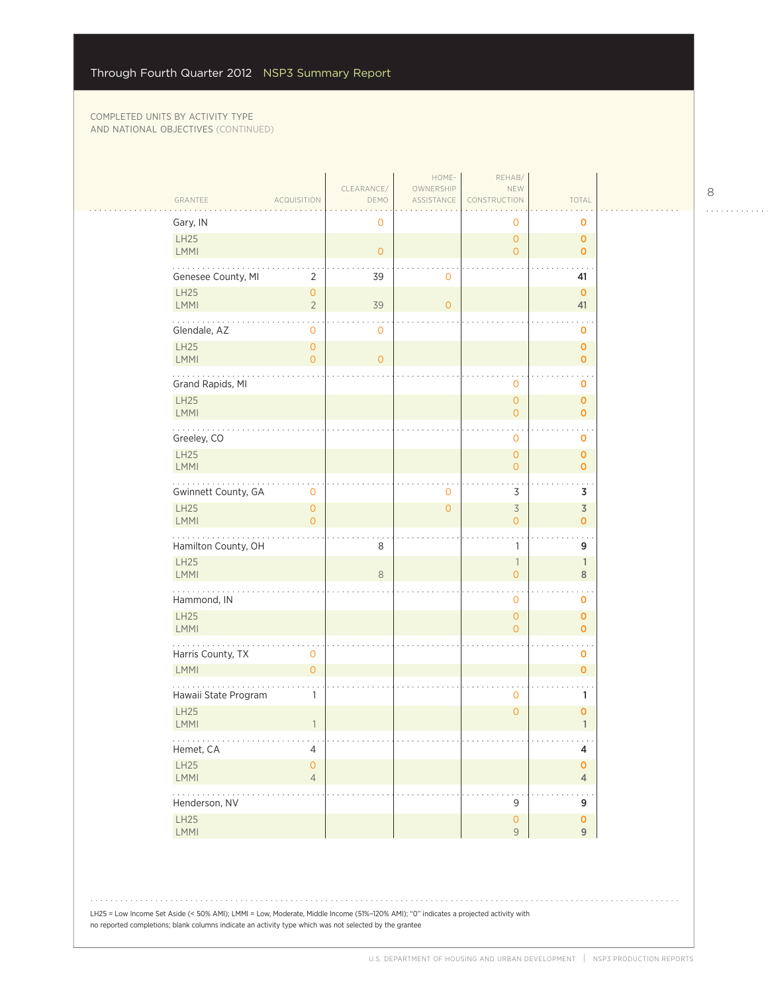| GRANTEE             | <b>ACQUISITION</b>                                          | CLEARANCE/<br>DEMO | HOME-<br>OWNERSHIP<br>ASSISTANCE | REHAB/<br>NEW<br>CONSTRUCTION                   | TOTAL                         |  |
|---------------------|-------------------------------------------------------------|--------------------|----------------------------------|-------------------------------------------------|-------------------------------|--|
| Gary, IN            |                                                             | 0                  |                                  | 0                                               | 0                             |  |
| LH25<br><b>LMMI</b> |                                                             | $\overline{O}$     |                                  | $\circ$<br>$\circ$                              | $\mathbf 0$<br>$\mathbf{O}$   |  |
| LH25                | Genesee County, MI<br>$\overline{2}$<br>$\mathsf{O}\xspace$ | 39                 | $\mathbf 0$                      |                                                 | 41<br>$\mathbf 0$             |  |
| LMMI                | $\overline{2}$                                              | 39                 | $\overline{O}$                   |                                                 | 41                            |  |
| Glendale, AZ        | $\mathsf{O}\xspace$                                         | 0                  |                                  |                                                 | 0                             |  |
| LH25<br><b>LMMI</b> | $\overline{0}$<br>$\overline{O}$                            | $\overline{O}$     |                                  |                                                 | $\mathbf 0$<br>$\mathbf 0$    |  |
| Grand Rapids, MI    |                                                             |                    |                                  | $\mathbf 0$                                     | o                             |  |
| LH25<br><b>LMMI</b> |                                                             |                    |                                  | $\mathsf{O}\xspace$<br>$\overline{0}$           | $\mathbf{O}$<br>$\mathbf 0$   |  |
| Greeley, CO<br>LH25 |                                                             |                    |                                  | $\mathbf 0$                                     | o                             |  |
| <b>LMMI</b>         |                                                             |                    |                                  | $\mathsf{O}\xspace$<br>$\overline{0}$           | 0<br>$\mathbf{o}$             |  |
| .                   | Gwinnett County, GA<br>0                                    |                    | $\mathbf 0$                      | 3                                               | 3                             |  |
| LH25<br><b>LMMI</b> | $\mathsf{O}\xspace$<br>$\overline{0}$                       |                    | $\overline{O}$                   | $\overline{\mathcal{S}}$<br>$\circ$             | $\overline{3}$<br>0           |  |
|                     | Hamilton County, OH                                         | 8                  |                                  | $\mathbb{1}$                                    | 9                             |  |
| LH25<br><b>LMMI</b> |                                                             | $\,8\,$            |                                  | $\overline{\phantom{a}}$<br>$\mathsf{O}\xspace$ | 1<br>$\,8\,$                  |  |
| .<br>Hammond, IN    |                                                             |                    |                                  | 0                                               | 0                             |  |
| LH25<br><b>LMMI</b> |                                                             |                    |                                  | $\circ$<br>$\circ$                              | 0<br>$\mathbf{O}$             |  |
| Harris County, TX   | $\mathsf{O}\xspace$                                         |                    |                                  |                                                 | 0                             |  |
| LMMI                | $\overline{0}$                                              |                    |                                  |                                                 | $\mathbf 0$                   |  |
| LH25                | Hawaii State Program<br>1                                   |                    |                                  | $\mathbf 0$<br>$\mathbf{O}$                     | 1<br>0                        |  |
| <b>LMMI</b><br>.    | $\overline{1}$                                              |                    |                                  |                                                 | $\mathbf{1}$<br>$\sim$ $\sim$ |  |
| Hemet, CA<br>LH25   | 4<br>$\mathsf{O}\xspace$                                    |                    |                                  |                                                 | 4<br>$\pmb{\mathsf{O}}$       |  |
| <b>LMMI</b>         | $\overline{4}$                                              |                    |                                  |                                                 | $\overline{4}$                |  |
| .<br>Henderson, NV  |                                                             |                    |                                  | 9                                               | μ.<br>9                       |  |
| LH25<br>LMMI        |                                                             |                    |                                  | $\mathsf{O}\xspace$<br>9                        | $\mathbf 0$<br>$\overline{9}$ |  |

  $\begin{array}{cccccccccccccc} . & . & . & . & . & . & . & . & . & . & . & . & . \end{array}$ 

LH25 = Low Income Set Aside (< 50% AMI); LMMI = Low, Moderate, Middle Income (51%–120% AMI); "0" indicates a projected activity with no reported completions; blank columns indicate an activity type which was not selected by the grantee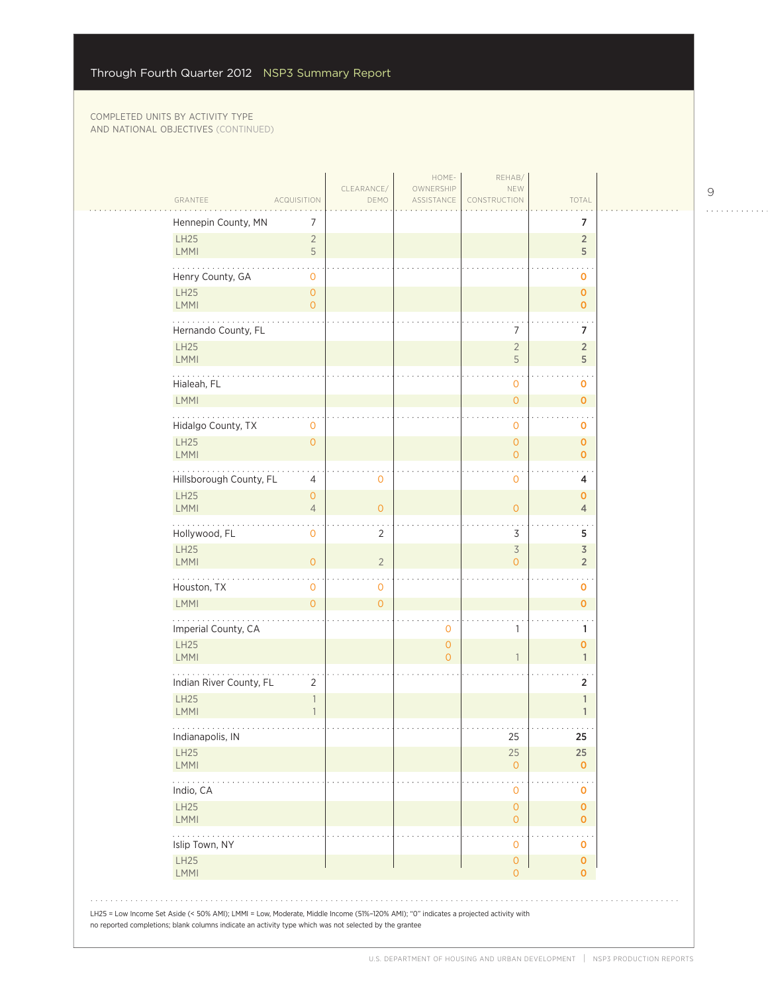| GRANTEE                    |                         | <b>ACQUISITION</b>               | CLEARANCE/<br>DEMO | HOME-<br>OWNERSHIP<br>ASSISTANCE      | REHAB/<br>NEW<br>CONSTRUCTION         | TOTAL                         |  |
|----------------------------|-------------------------|----------------------------------|--------------------|---------------------------------------|---------------------------------------|-------------------------------|--|
|                            | Hennepin County, MN     | 7                                |                    |                                       |                                       | 7                             |  |
| <b>LH25</b>                |                         | $\overline{2}$                   |                    |                                       |                                       | $\overline{2}$                |  |
| LMMI                       |                         | 5                                |                    |                                       |                                       | 5                             |  |
|                            | Henry County, GA        | 0                                |                    |                                       |                                       | $\mathbf 0$                   |  |
| <b>LH25</b><br>LMMI        |                         | $\overline{O}$<br>$\overline{O}$ |                    |                                       |                                       | $\mathbf 0$<br>$\overline{0}$ |  |
|                            |                         |                                  |                    |                                       | 7                                     |                               |  |
| <b>LH25</b>                | Hernando County, FL     |                                  |                    |                                       | $\overline{2}$                        | 7<br>$\overline{2}$           |  |
| LMMI                       |                         |                                  |                    |                                       | 5                                     | 5                             |  |
|                            | Hialeah, FL             |                                  |                    |                                       | 0                                     | 0                             |  |
| <b>LMMI</b>                |                         |                                  |                    |                                       | $\circ$                               | $\overline{O}$                |  |
|                            | Hidalgo County, TX      | 0                                |                    |                                       | $\mathbf{0}$                          | 0                             |  |
| <b>LH25</b><br>LMMI        |                         | $\overline{0}$                   |                    |                                       | $\mathbf{O}$<br>$\overline{O}$        | $\mathbf 0$<br>$\overline{0}$ |  |
| .                          |                         |                                  |                    |                                       |                                       |                               |  |
| <b>LH25</b>                | Hillsborough County, FL | 4<br>$\mathbf{O}$                | $\mathbf 0$        |                                       | $\mathbf{O}$                          | 4<br>$\mathbf 0$              |  |
| LMMI                       |                         | $\overline{4}$                   | $\overline{0}$     |                                       | $\overline{0}$                        | $\overline{4}$                |  |
|                            | Hollywood, FL           | 0                                | $\overline{2}$     |                                       | 3                                     | 5                             |  |
| <b>LH25</b>                |                         |                                  |                    |                                       | $\overline{3}$                        | $\overline{3}$                |  |
| LMMI                       |                         | $\mathbf{O}$                     | $\overline{2}$     |                                       | $\overline{O}$                        | $\overline{2}$                |  |
|                            | Houston, TX             | $\mathbf 0$                      | $\mathbf{0}$       |                                       |                                       | 0                             |  |
| <b>LMMI</b>                |                         | $\Omega$                         | $\overline{O}$     |                                       |                                       | $\overline{0}$                |  |
|                            | Imperial County, CA     |                                  |                    | 0                                     | 1                                     | 1                             |  |
| <b>LH25</b><br><b>LMMI</b> |                         |                                  |                    | $\mathsf{O}\xspace$<br>$\overline{0}$ | $\mathbf{1}$                          | $\mathbf{o}$<br>$\mathbf{1}$  |  |
|                            | Indian River County, FL | $\overline{2}$                   |                    |                                       |                                       | 2                             |  |
| <b>LH25</b>                |                         | 1                                |                    |                                       |                                       | 1                             |  |
| <b>LMMI</b>                |                         | $\mathbf{1}$                     |                    |                                       |                                       | 1                             |  |
|                            | Indianapolis, IN        |                                  |                    |                                       | 25                                    | 25                            |  |
| LH25<br>LMMI               |                         |                                  |                    |                                       | 25<br>$\overline{0}$                  | 25<br>$\mathbf{O}$            |  |
| .<br>Indio, CA             |                         |                                  |                    |                                       |                                       |                               |  |
| <b>LH25</b>                |                         |                                  |                    |                                       | $\mathbf{0}$<br>$\mathsf{O}\xspace$   | 0<br>$\mathbf 0$              |  |
| LMMI                       |                         |                                  |                    |                                       | $\overline{O}$                        | 0                             |  |
| .                          | Islip Town, NY          |                                  |                    |                                       | 0                                     | 0                             |  |
| LH25<br>LMMI               |                         |                                  |                    |                                       | $\mathsf{O}\xspace$<br>$\overline{O}$ | $\pmb{0}$<br>0                |  |
|                            |                         |                                  |                    |                                       |                                       |                               |  |

. . . . . . . . . . . .

J,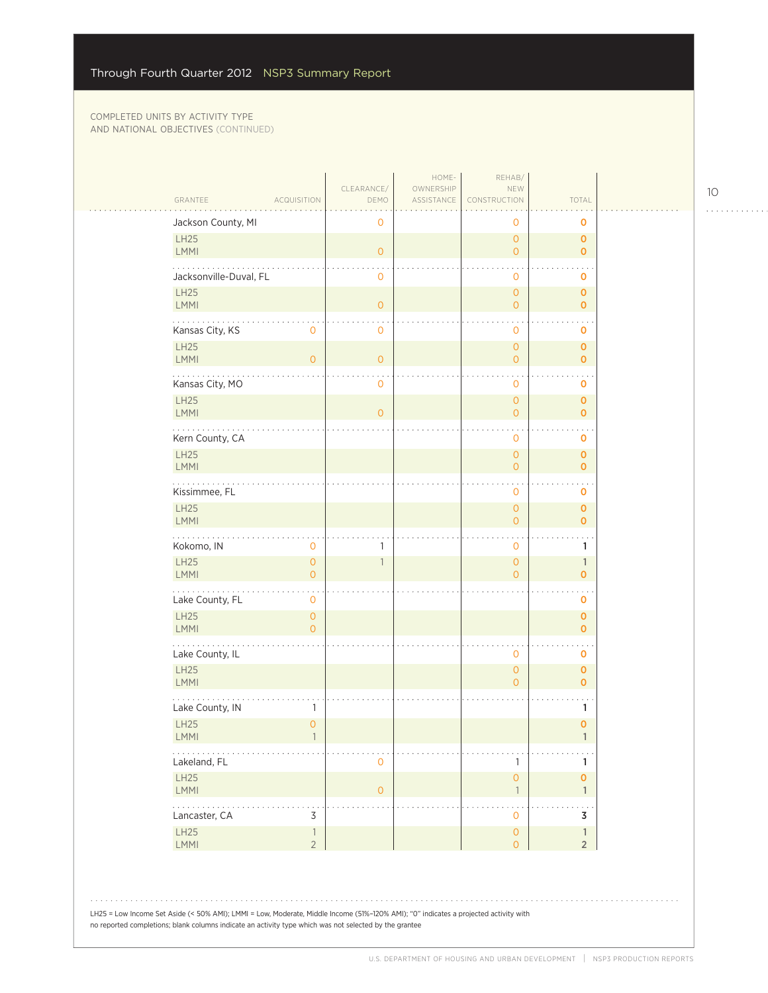| GRANTEE<br><b>ACQUISITION</b>                                                                                                                                                                                                                  | CLEARANCE/<br>DEMO       | HOME-<br>OWNERSHIP<br>ASSISTANCE | REHAB/<br>NEW<br>CONSTRUCTION              | TOTAL                          |  |
|------------------------------------------------------------------------------------------------------------------------------------------------------------------------------------------------------------------------------------------------|--------------------------|----------------------------------|--------------------------------------------|--------------------------------|--|
| Jackson County, MI                                                                                                                                                                                                                             | $\mathbf 0$              |                                  | 0                                          | 0                              |  |
| <b>LH25</b><br>LMMI                                                                                                                                                                                                                            | $\circ$                  |                                  | $\mathsf{O}\xspace$<br>$\overline{0}$      | $\mathbf 0$<br>$\mathbf{o}$    |  |
| Jacksonville-Duval, FL                                                                                                                                                                                                                         | 0                        |                                  | 0                                          | 0                              |  |
| <b>LH25</b><br><b>LMMI</b>                                                                                                                                                                                                                     | $\overline{O}$           |                                  | $\mathsf{O}\xspace$<br>$\mathsf{O}\xspace$ | $\mathbf 0$<br>$\mathbf 0$     |  |
| Kansas City, KS<br>0                                                                                                                                                                                                                           | $\mathbf 0$              |                                  | 0                                          | O                              |  |
| LH25<br><b>LMMI</b><br>$\overline{O}$                                                                                                                                                                                                          | $\overline{0}$           |                                  | $\mathsf{O}\xspace$<br>$\mathbf{O}$        | $\mathbf 0$<br>$\mathbf{o}$    |  |
| Kansas City, MO                                                                                                                                                                                                                                | $\mathbf 0$              |                                  | $\mathbf 0$                                | O                              |  |
| <b>LH25</b><br>LMMI                                                                                                                                                                                                                            | $\overline{O}$           |                                  | $\overline{0}$<br>$\overline{0}$           | $\mathbf 0$<br>$\overline{0}$  |  |
| Kern County, CA                                                                                                                                                                                                                                |                          |                                  | 0                                          | 0                              |  |
| <b>LH25</b><br>LMMI                                                                                                                                                                                                                            |                          |                                  | $\overline{0}$<br>$\mathsf{O}\xspace$      | $\mathbf 0$<br>$\mathbf 0$     |  |
| Kissimmee, FL                                                                                                                                                                                                                                  |                          |                                  | 0                                          | 0                              |  |
| <b>LH25</b><br><b>LMMI</b>                                                                                                                                                                                                                     |                          |                                  | $\mathsf O$<br>$\mathbf{O}$                | $\pmb{0}$<br>$\overline{0}$    |  |
| Kokomo, IN<br>0                                                                                                                                                                                                                                | 1                        |                                  | 0                                          | 1                              |  |
| <b>LH25</b><br>$\mathsf{O}\xspace$<br><b>LMMI</b><br>$\Omega$                                                                                                                                                                                  | $\overline{\phantom{a}}$ |                                  | $\mathsf{O}\xspace$<br>$\overline{0}$      | $\mathbb{1}$<br>$\mathbf{o}$   |  |
| .<br>Lake County, FL<br>0                                                                                                                                                                                                                      |                          |                                  |                                            | 0                              |  |
| <b>LH25</b><br>$\overline{O}$<br>LMMI<br>$\overline{O}$                                                                                                                                                                                        |                          |                                  |                                            | $\mathbf 0$<br>$\mathbf{o}$    |  |
| Lake County, IL                                                                                                                                                                                                                                |                          |                                  | 0                                          | 0                              |  |
| <b>LH25</b><br>LMMI                                                                                                                                                                                                                            |                          |                                  | $\mathsf{O}\xspace$<br>$\overline{O}$      | $\mathbf 0$<br>$\mathbf{o}$    |  |
| Lake County, IN<br>1                                                                                                                                                                                                                           |                          |                                  |                                            | 1                              |  |
| <b>LH25</b><br>$\overline{0}$<br><b>LMMI</b>                                                                                                                                                                                                   |                          |                                  |                                            | $\mathbf 0$                    |  |
| Lakeland, FL                                                                                                                                                                                                                                   | 0                        |                                  | 1                                          | 1                              |  |
| LH25<br>LMMI                                                                                                                                                                                                                                   | $\mathsf{O}\xspace$      |                                  | $\mathsf{O}\xspace$<br>$\mathbf{1}$        | $\mathbf{o}$<br>$\mathbb{1}$   |  |
| $\sim$ $\sim$ $\sim$ $\sim$<br>Lancaster, CA<br>3                                                                                                                                                                                              |                          |                                  | 0                                          | 3                              |  |
| LH25<br>$\overline{\phantom{a}}$<br>$\overline{2}$<br>LMMI                                                                                                                                                                                     |                          |                                  | $\circ$<br>$\overline{0}$                  | $\mathbf{1}$<br>2 <sup>2</sup> |  |
|                                                                                                                                                                                                                                                |                          |                                  |                                            |                                |  |
|                                                                                                                                                                                                                                                |                          |                                  |                                            |                                |  |
| LH25 = Low Income Set Aside (< 50% AMI); LMMI = Low, Moderate, Middle Income (51%-120% AMI); "O" indicates a projected activity with<br>no reported completions; blank columns indicate an activity type which was not selected by the grantee |                          |                                  |                                            |                                |  |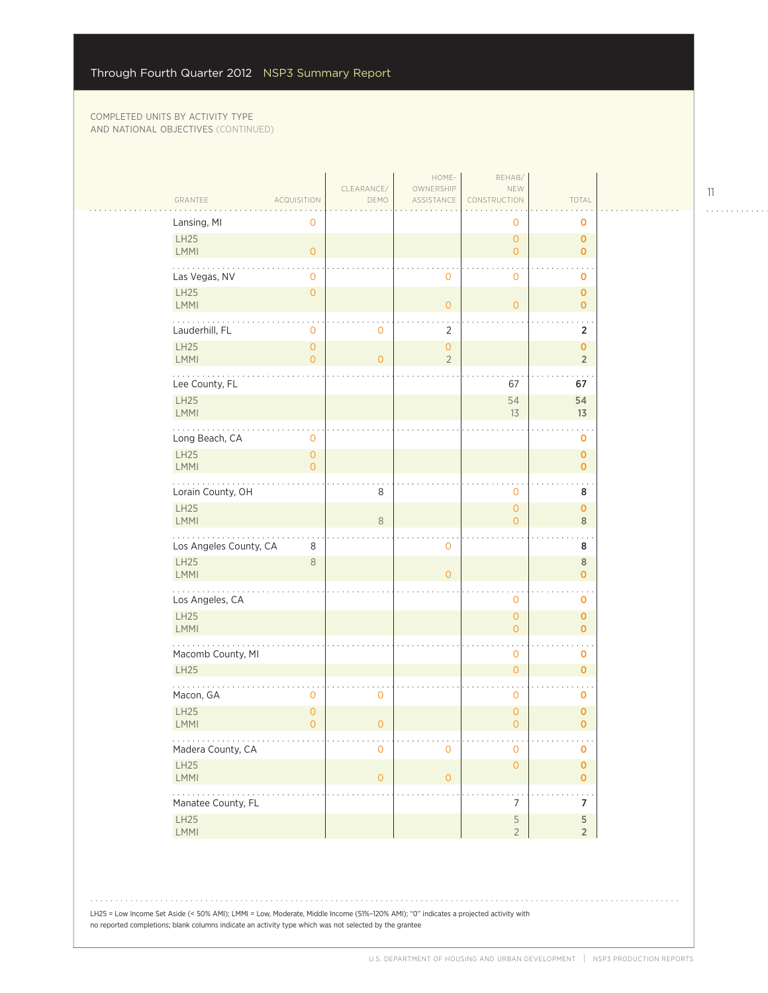$\sim$  .

| GRANTEE                    | <b>ACQUISITION</b>                    | CLEARANCE/<br>DEMO | HOME-<br>OWNERSHIP<br>ASSISTANCE | REHAB/<br>NEW<br>CONSTRUCTION    | TOTAL                                    |  |
|----------------------------|---------------------------------------|--------------------|----------------------------------|----------------------------------|------------------------------------------|--|
| Lansing, MI                | 0                                     |                    |                                  | 0                                | o                                        |  |
| <b>LH25</b><br>LMMI        | $\circ$                               |                    |                                  | $\mathbf{0}$<br>$\overline{O}$   | $\mathbf 0$<br>$\mathbf 0$               |  |
| Las Vegas, NV              | 0                                     |                    | 0                                | $\mathbf 0$                      | $\ddotsc$<br>o                           |  |
| LH25<br><b>LMMI</b>        | $\mathsf O$                           |                    | $\overline{O}$                   | $\overline{O}$                   | $\pmb{0}$<br>$\mathbf{O}$                |  |
| Lauderhill, FL             | 0                                     | 0                  | $\overline{2}$                   |                                  | $\overline{2}$                           |  |
| <b>LH25</b><br><b>LMMI</b> | $\overline{O}$<br>0                   | $\overline{O}$     | $\overline{0}$<br>$\overline{2}$ |                                  | $\mathbf{o}$<br>$\sqrt{2}$               |  |
| Lee County, FL             |                                       |                    |                                  | 67                               | 67                                       |  |
| <b>LH25</b><br><b>LMMI</b> |                                       |                    |                                  | 54<br>13                         | 54<br>13                                 |  |
| Long Beach, CA             | $\mathsf{O}\xspace$                   |                    |                                  |                                  | $\sim$<br>$\mathbf 0$                    |  |
| <b>LH25</b><br><b>LMMI</b> | $\mathsf O$<br>$\overline{0}$         |                    |                                  |                                  | $\pmb{0}$<br>$\mathbf 0$                 |  |
| Lorain County, OH          |                                       | 8                  |                                  | 0                                | $\sim$ .<br>8                            |  |
| LH25<br>LMMI               |                                       | 8                  |                                  | $\mathbf{0}$<br>$\Omega$         | $\mathbf 0$<br>$\,8\,$                   |  |
| Los Angeles County, CA     | 8                                     |                    | 0                                |                                  | 8                                        |  |
| <b>LH25</b><br><b>LMMI</b> | 8                                     |                    | $\overline{O}$                   |                                  | $\,$ 8<br>$\mathbf 0$                    |  |
| Los Angeles, CA            |                                       |                    |                                  | 0                                | 0                                        |  |
| LH25<br>LMMI               |                                       |                    |                                  | $\overline{0}$<br>$\overline{0}$ | $\mathbf 0$<br>$\mathbf{O}$              |  |
| Macomb County, MI          |                                       |                    |                                  | 0                                | $\sim$ .<br>o                            |  |
| <b>LH25</b>                |                                       |                    |                                  | $\overline{0}$                   | $\mathbf{o}$                             |  |
| Macon, GA                  | 0                                     | 0                  |                                  | 0                                | $\ddotsc$<br>o                           |  |
| LH25<br>LMMI               | $\mathsf{O}\xspace$<br>$\overline{0}$ | $\overline{0}$     |                                  | 0<br>$\overline{0}$              | $\mathbf 0$<br>$\mathbf{O}$              |  |
| Madera County, CA          |                                       | 0                  | 0                                | 0                                | $\sim$ $\sim$<br>$\mathbf 0$             |  |
| <b>LH25</b><br><b>LMMI</b> |                                       | $\overline{0}$     | $\mathsf{O}\xspace$              | $\mathsf{O}\xspace$              | $\pmb{\mathsf{O}}$<br>$\pmb{\mathsf{O}}$ |  |
| .<br>Manatee County, FL    |                                       |                    |                                  | 7                                | . .<br>7                                 |  |
| LH25<br><b>LMMI</b>        |                                       |                    |                                  | $\mathsf S$<br>$\overline{2}$    | 5<br>$\sqrt{2}$                          |  |
|                            |                                       |                    |                                  |                                  |                                          |  |

LH25 = Low Income Set Aside (< 50% AMI); LMMI = Low, Moderate, Middle Income (51%–120% AMI); "0" indicates a projected activity with no reported completions; blank columns indicate an activity type which was not selected by the grantee

. . . . . . . . . . . .

 $1.1.1.1.1.1.1.1$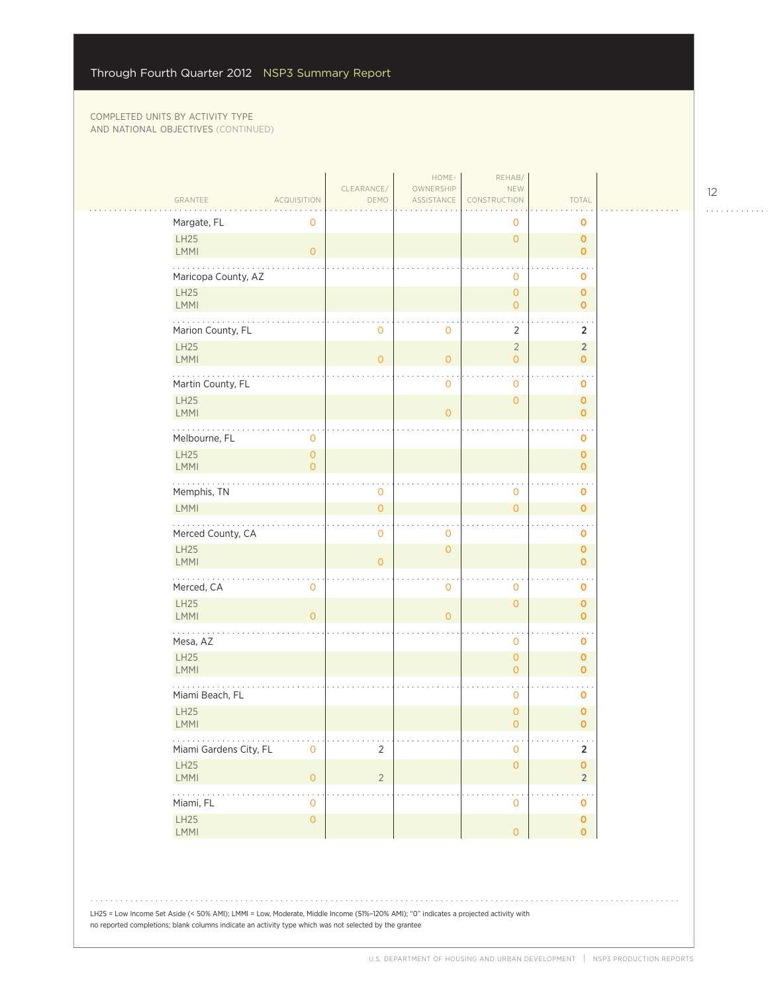|                                                                | TOTAL<br>CONSTRUCTION                                             |
|----------------------------------------------------------------|-------------------------------------------------------------------|
| Margate, FL<br>0                                               | $\mathbf 0$<br>0                                                  |
| LH25<br>LMMI<br>$\mathsf{O}\xspace$                            | $\overline{0}$<br>$\mathbf 0$<br>$\mathbf 0$                      |
| Maricopa County, AZ                                            | $\mathbf 0$<br>0                                                  |
| LH25<br><b>LMMI</b>                                            | $\mathsf{O}\xspace$<br>$\pmb{0}$<br>$\overline{0}$<br>$\mathbf 0$ |
| Marion County, FL<br>$\mathbf 0$<br>0                          | $\overline{2}$<br>$\overline{2}$                                  |
| LH25<br>LMMI<br>$\overline{0}$<br>$\mathbf{O}$                 | $\overline{2}$<br>$\overline{2}$<br>$\circ$<br>$\mathbf 0$        |
| Martin County, FL<br>$\mathbf 0$                               | $\mathbf 0$<br>0                                                  |
| LH25<br><b>LMMI</b><br>$\circ$                                 | $\circ$<br>$\mathbf 0$<br>$\mathbf 0$                             |
| Melbourne, FL<br>0<br>LH25<br>$\mathsf O$                      | 0<br>$\pmb{0}$                                                    |
| <b>LMMI</b><br>$\overline{O}$<br>.                             | $\mathbf{O}$<br>$\sim$ $\sim$                                     |
| Memphis, TN<br>0                                               | $\mathsf{O}\xspace$<br>0                                          |
| LMMI<br>$\overline{O}$                                         | $\overline{0}$<br>$\mathbf 0$                                     |
| Merced County, CA<br>$\mathbf 0$<br>0                          | 0                                                                 |
| <b>LH25</b><br>$\overline{0}$<br><b>LMMI</b><br>$\overline{0}$ | $\mathbf 0$<br>$\mathbf 0$                                        |
| Merced, CA<br>0<br>$\mathbf 0$                                 | $\mathbf 0$<br>0                                                  |
| LH25<br><b>LMMI</b><br>$\overline{O}$<br>$\mathbf{O}$          | $\circ$<br>$\mathbf 0$<br>$\mathbf 0$                             |
| $\cdots$<br>Mesa, AZ                                           | $\sim$<br>$\mathbf 0$<br>0                                        |
| LH25<br>LMMI                                                   | $\mathsf{O}\xspace$<br>$\mathbf 0$<br>$\mathbf{O}$<br>$\circ$     |
| Miami Beach, FL                                                | $\ddot{\phantom{1}}$<br>$\sim$ $\sim$<br>$\mathbf 0$<br>0         |
| <b>LH25</b><br>LMMI                                            | $\circ$<br>0<br>$\circ$<br>$\mathbf 0$                            |
| .<br>Miami Gardens City, FL<br>$\overline{2}$<br>0             | $\sim 100$<br>$\mathbf 2$<br>$\mathbf 0$                          |
| LH25<br>$\overline{2}$<br>LMMI<br>$\mathsf{O}\xspace$          | $\mathsf{O}\xspace$<br>$\pmb{\mathsf{O}}$<br>$\overline{2}$       |
| .<br>Miami, FL<br>0                                            | $\mathbf 0$<br>o                                                  |
| LH25<br>$\mathsf{O}\xspace$<br>LMMI                            | $\pmb{0}$<br>$\mathsf O$<br>$\pmb{0}$                             |

LH25 = Low Income Set Aside (< 50% AMI); LMMI = Low, Moderate, Middle Income (51%–120% AMI); "0" indicates a projected activity with no reported completions; blank columns indicate an activity type which was not selected by the grantee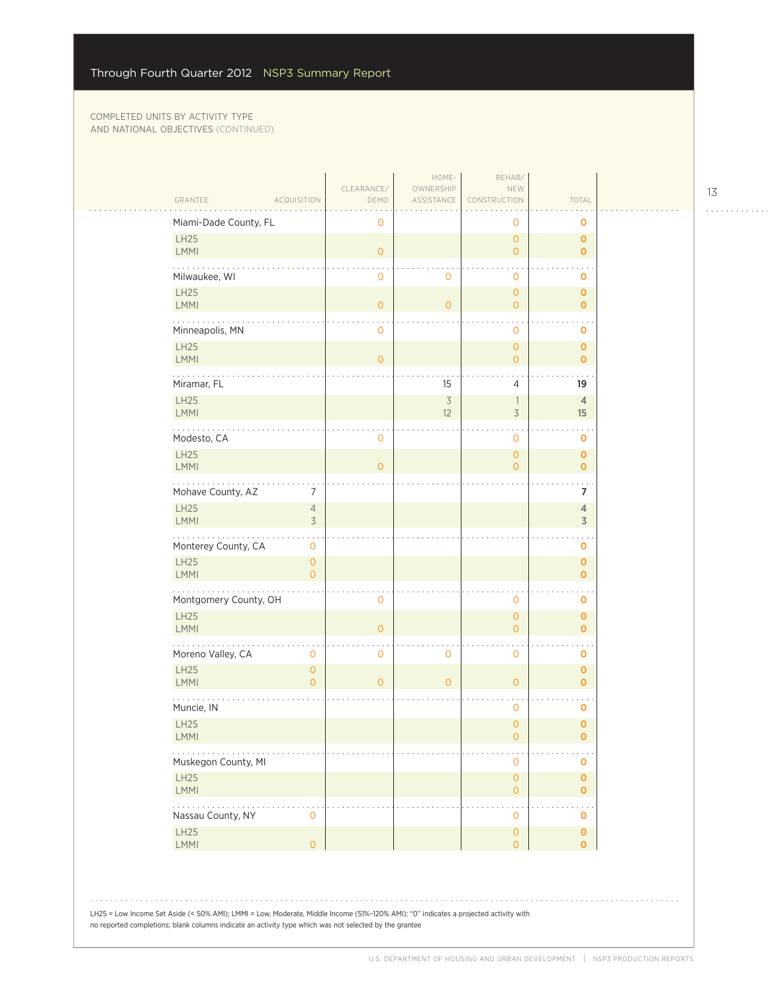|                                                          | CLEARANCE/     | HOME-<br>OWNERSHIP             | REHAB/<br>NEW                                        |                             |
|----------------------------------------------------------|----------------|--------------------------------|------------------------------------------------------|-----------------------------|
| GRANTEE<br><b>ACQUISITION</b>                            | DEMO           | ASSISTANCE                     | CONSTRUCTION                                         | TOTAL                       |
| Miami-Dade County, FL                                    | $\mathbf 0$    |                                | 0                                                    | $\mathbf 0$                 |
| LH25<br>LMMI                                             | $\circ$        |                                | $\mathsf{O}\xspace$<br>$\overline{O}$                | $\mathbf{O}$<br>$\mathbf 0$ |
| Milwaukee, WI                                            | $\mathbf 0$    | 0                              | $\mathbf 0$                                          | 0                           |
| LH25<br>LMMI                                             | $\overline{O}$ | $\overline{0}$                 | $\overline{O}$<br>$\overline{O}$                     | $\mathbf 0$<br>$\mathbf 0$  |
| .                                                        |                |                                |                                                      |                             |
| Minneapolis, MN<br>LH25                                  | $\circ$        |                                | 0<br>$\mathsf{O}\xspace$                             | O<br>$\mathbf 0$            |
| <b>LMMI</b>                                              | $\overline{O}$ |                                | $\mathbf{O}$                                         | $\mathbf{O}$                |
| Miramar, FL                                              |                | 15                             | 4                                                    | 19                          |
| <b>LH25</b><br>LMMI                                      |                | $\overline{\mathcal{S}}$<br>12 | $\overline{\phantom{a}}$<br>$\overline{\mathcal{S}}$ | $\overline{4}$<br>15        |
| Modesto, CA                                              | 0              |                                | $\mathbf 0$                                          | 0                           |
| LH25<br><b>LMMI</b>                                      | $\overline{0}$ |                                | $\overline{O}$<br>$\overline{0}$                     | $\mathbf 0$<br>$\mathbf 0$  |
|                                                          |                |                                |                                                      | $\blacksquare$              |
| Mohave County, AZ<br>7<br>LH25<br>$\overline{4}$         |                |                                |                                                      | 7<br>$\overline{4}$         |
| LMMI<br>3                                                |                |                                |                                                      | $\overline{3}$              |
| Monterey County, CA<br>$\mathbf 0$                       |                |                                |                                                      | 0                           |
| <b>LH25</b><br>$\circ$<br>$\Omega$<br>LMMI               |                |                                |                                                      | $\mathbf 0$<br>$\mathbf 0$  |
| .<br>Montgomery County, OH                               | $\mathbf 0$    |                                | 0                                                    | 0                           |
| LH25<br>LMMI                                             | $\overline{O}$ |                                | $\overline{O}$<br>$\overline{O}$                     | $\mathbf{O}$<br>$\mathbf 0$ |
| Moreno Valley, CA<br>0                                   | $\mathbf{O}$   | 0                              | $\mathbf 0$                                          | O                           |
| <b>LH25</b><br>$\mathbf{O}$<br>LMMI<br>$\Omega$          | $\overline{O}$ | $\overline{O}$                 | $\overline{0}$                                       | $\pmb{0}$<br>$\mathbf{O}$   |
| Muncie, IN                                               |                |                                | 0                                                    | O                           |
| LH25                                                     |                |                                | $\mathsf{O}\xspace$                                  | $\mathbf 0$                 |
| <b>LMMI</b>                                              |                |                                | 0                                                    | 0                           |
| Muskegon County, MI                                      |                |                                | 0                                                    | 0                           |
| LH25<br><b>LMMI</b>                                      |                |                                | $\mathsf{O}\xspace$<br>$\mathsf{O}\xspace$           | $\mathbf{O}$<br>$\mathbf 0$ |
| $\sim$ $\sim$ $\sim$<br>Nassau County, NY<br>$\mathbf 0$ |                |                                | $\bullet$<br>0                                       | $\sim$<br>O                 |
| LH25                                                     |                |                                | $\mathsf{O}\xspace$                                  | $\pmb{0}$                   |
| <b>LMMI</b><br>$\overline{O}$                            |                |                                | $\overline{0}$                                       | $\mathbf{O}$                |

. . . . . . . . . . . .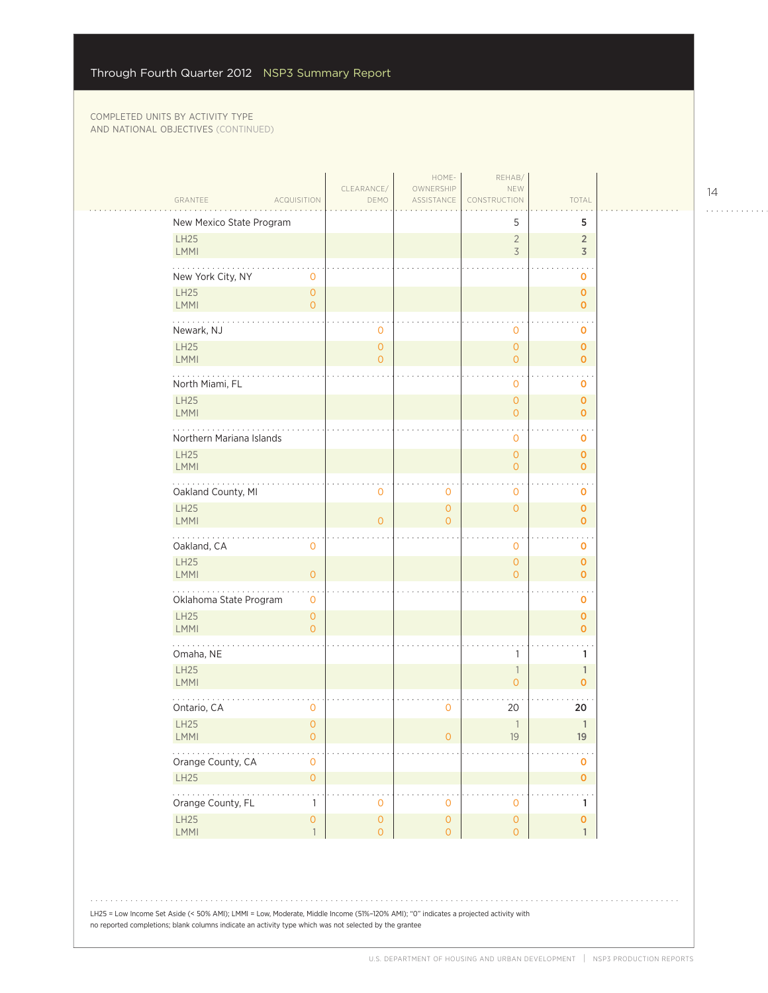$\mathbb{R}$ 

| GRANTEE                  | <b>ACQUISITION</b>                    | CLEARANCE/<br>DEMO                         | HOME-<br>OWNERSHIP<br>ASSISTANCE      | REHAB/<br>NEW<br>CONSTRUCTION              | TOTAL                            |
|--------------------------|---------------------------------------|--------------------------------------------|---------------------------------------|--------------------------------------------|----------------------------------|
| New Mexico State Program |                                       |                                            |                                       | 5                                          | 5                                |
| LH25<br><b>LMMI</b>      |                                       |                                            |                                       | $\sqrt{2}$<br>3                            | $\overline{2}$<br>$\overline{3}$ |
| New York City, NY        | $\mathbf 0$                           |                                            |                                       |                                            | 0                                |
| LH25<br><b>LMMI</b>      | $\overline{0}$<br>$\overline{O}$      |                                            |                                       |                                            | $\mathbf 0$<br>$\mathbf 0$       |
| Newark, NJ               |                                       | 0                                          |                                       | 0                                          | 0                                |
| LH25<br>LMMI             |                                       | $\mathbf{0}$<br>$\overline{O}$             |                                       | $\overline{O}$<br>$\mathbf{O}$             | $\mathbf 0$<br>$\mathbf 0$       |
| North Miami, FL          |                                       |                                            |                                       | 0                                          | 0                                |
| LH25<br>LMMI             |                                       |                                            |                                       | $\mathsf{O}\xspace$<br>$\mathbf{O}$        | $\mathbf 0$<br>$\mathbf{O}$      |
| Northern Mariana Islands |                                       |                                            |                                       | $\mathbf{O}$                               | o                                |
| <b>LH25</b><br>LMMI      |                                       |                                            |                                       | $\mathsf{O}\xspace$<br>$\overline{O}$      | $\mathbf 0$<br>$\mathbf 0$       |
| Oakland County, MI       |                                       | 0                                          | 0                                     | 0                                          | 0                                |
| LH25<br>LMMI             |                                       | $\Omega$                                   | $\overline{O}$<br>$\overline{O}$      | $\overline{O}$                             | $\mathbf 0$<br>$\overline{O}$    |
| Oakland, CA              | 0                                     |                                            |                                       | 0                                          | 0                                |
| LH25<br><b>LMMI</b>      | $\overline{O}$                        |                                            |                                       | $\overline{O}$<br>$\overline{O}$           | $\mathbf 0$<br>$\mathbf{O}$      |
| Oklahoma State Program   | 0                                     |                                            |                                       |                                            | o                                |
| <b>LH25</b><br>LMMI      | $\overline{0}$<br>$\overline{0}$      |                                            |                                       |                                            | $\mathbf 0$<br>$\mathbf 0$       |
| Omaha, NE                |                                       |                                            |                                       | 1                                          | 1                                |
| LH25<br>LMMI             |                                       |                                            |                                       | $\overline{\phantom{a}}$<br>$\overline{0}$ | $\mathbf{1}$<br>$\mathbf{o}$     |
| Ontario, CA              | 0                                     |                                            | 0                                     | 20                                         | 20                               |
| <b>LH25</b><br>LMMI      | $\overline{0}$<br>$\mathsf{O}\xspace$ |                                            | $\overline{O}$                        | 1<br>$19$                                  | $\mathbb{1}$<br>$19$             |
| Orange County, CA        | $\mathsf{O}\xspace$                   |                                            |                                       |                                            | $\mathbf 0$                      |
| LH25                     | $\mathsf{O}\xspace$                   |                                            |                                       |                                            | $\overline{O}$                   |
| Orange County, FL        | $\mathbf{1}$                          | $\mathbf 0$                                | $\mathbf 0$                           | $\mathbf 0$                                | $\mathbf{1}$                     |
| <b>LH25</b><br>LMMI      | $\mathsf{O}\xspace$<br>$\overline{1}$ | $\mathsf{O}\xspace$<br>$\mathsf{O}\xspace$ | $\mathsf{O}\xspace$<br>$\overline{O}$ | $\mathsf{O}\xspace$<br>$\mathsf{O}\xspace$ | $\pmb{0}$<br>$\mathbf{1}$        |

. . . . . . . . . . . .

 $\mathbb{R}$  . .

LH25 = Low Income Set Aside (< 50% AMI); LMMI = Low, Moderate, Middle Income (51%–120% AMI); "0" indicates a projected activity with no reported completions; blank columns indicate an activity type which was not selected by the grantee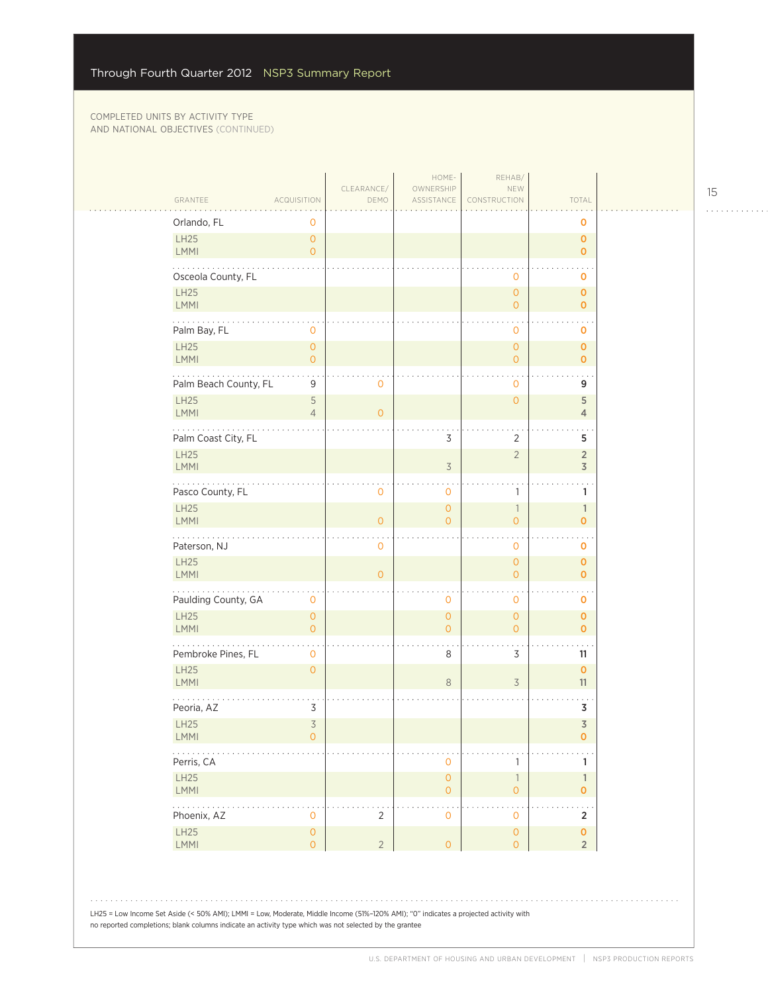$\mathcal{L}_{\mathcal{A}}$ 

|                                                                  |                                       | CLEARANCE/          | HOME-<br>OWNERSHIP                 | REHAB/<br>NEW                                    |                                      |  |
|------------------------------------------------------------------|---------------------------------------|---------------------|------------------------------------|--------------------------------------------------|--------------------------------------|--|
| GRANTEE<br>ACQUISITION                                           |                                       | DEMO                | ASSISTANCE                         | CONSTRUCTION                                     | TOTAL                                |  |
| Orlando, FL<br>LH25                                              | 0<br>$\circ$                          |                     |                                    |                                                  | 0<br>$\pmb{\mathsf{O}}$              |  |
| <b>LMMI</b>                                                      | $\overline{O}$                        |                     |                                    |                                                  | $\mathbf 0$                          |  |
| Osceola County, FL                                               |                                       |                     |                                    | $\mathbf 0$                                      | 0                                    |  |
| <b>LH25</b><br><b>LMMI</b>                                       |                                       |                     |                                    | $\mathbf{O}$<br>$\overline{O}$                   | $\pmb{\mathsf{O}}$<br>$\overline{0}$ |  |
| Palm Bay, FL                                                     | 0                                     |                     |                                    | $\mathbf 0$                                      | 0                                    |  |
| LH25<br><b>LMMI</b>                                              | $\circ$<br>$\overline{O}$             |                     |                                    | $\mathbf{O}$<br>$\mathbf{O}$                     | $\mathbf 0$<br>$\mathbf 0$           |  |
| Palm Beach County, FL                                            | 9                                     | $\mathsf{O}\xspace$ |                                    | 0                                                | 9                                    |  |
| LH25<br><b>LMMI</b>                                              | $\mathsf S$<br>$\overline{4}$         | $\mathbf{O}$        |                                    | $\mathbf{O}$                                     | 5<br>4                               |  |
| Palm Coast City, FL                                              |                                       |                     | 3                                  | $\overline{2}$                                   | 5                                    |  |
| LH25<br><b>LMMI</b>                                              |                                       |                     | $\overline{\mathcal{S}}$           | $\overline{2}$                                   | $\overline{2}$<br>$\mathsf 3$        |  |
| المتحدث والمناو<br>Pasco County, FL                              |                                       | $\mathbf 0$         | 0                                  | 1                                                | 1                                    |  |
| LH25<br>LMMI                                                     |                                       | $\mathbf{O}$        | $\overline{O}$<br>$\Omega$         | $\overline{\phantom{a}}$<br>$\overline{O}$       | 1<br>$\overline{0}$                  |  |
| Paterson, NJ                                                     |                                       | $\mathbf 0$         |                                    | $\mathbf 0$                                      | 0                                    |  |
| LH25<br><b>LMMI</b>                                              |                                       | $\mathsf{O}\xspace$ |                                    | $\mathbf{O}$<br>$\mathsf{O}\xspace$              | 0<br>$\overline{0}$                  |  |
| Paulding County, GA                                              | $\mathbf 0$                           |                     | 0                                  | $\mathbf 0$                                      | 0                                    |  |
| <b>LH25</b><br><b>LMMI</b>                                       | $\circ$<br>$\overline{O}$             |                     | $\overline{0}$<br>$\overline{O}$   | $\mathbf{O}$<br>$\overline{O}$                   | $\mathbf 0$<br>$\overline{0}$        |  |
| Pembroke Pines, FL                                               | 0                                     |                     | 8                                  | 3                                                | 11                                   |  |
| LH25<br>LMMI                                                     | $\circ$                               |                     | $\,8\,$                            | $\overline{\mathcal{S}}$                         | $\mathbf{O}$<br>11                   |  |
| Peoria, AZ                                                       | 3                                     |                     |                                    |                                                  | 3                                    |  |
| LH25<br>LMMI                                                     | $\overline{3}$<br>$\overline{0}$      |                     |                                    |                                                  | $\mathsf 3$<br>0                     |  |
| $\mathbb{Z}^2$ , $\mathbb{Z}^2$ , $\mathbb{Z}^2$ ,<br>Perris, CA |                                       |                     | 0                                  | $\mathbf{1}$                                     | 1                                    |  |
| LH25<br>LMMI                                                     |                                       |                     | $\mathsf O$<br>$\mathsf{O}\xspace$ | $\ensuremath{\mathsf{1}}$<br>$\mathsf{O}\xspace$ | $\mathbf{1}$<br>$\mathbf 0$          |  |
| 1.1.1.1.1<br>Phoenix, AZ                                         | $\mathsf{O}\xspace$                   | $\overline{c}$      | $\mathsf{O}\xspace$                | $\mathsf{O}$                                     | $\overline{\mathbf{c}}$              |  |
| LH25<br>LMMI                                                     | $\mathsf{O}\xspace$<br>$\overline{O}$ | $\overline{2}$      | $\mathsf{O}\xspace$                | $\mathsf{O}\xspace$<br>$\mathsf O$               | $\mathbf 0$<br>$\overline{2}$        |  |
|                                                                  |                                       |                     |                                    |                                                  |                                      |  |
|                                                                  |                                       |                     |                                    |                                                  |                                      |  |

LH25 = Low Income Set Aside (< 50% AMI); LMMI = Low, Moderate, Middle Income (51%–120% AMI); "0" indicates a projected activity with no reported completions; blank columns indicate an activity type which was not selected by the grantee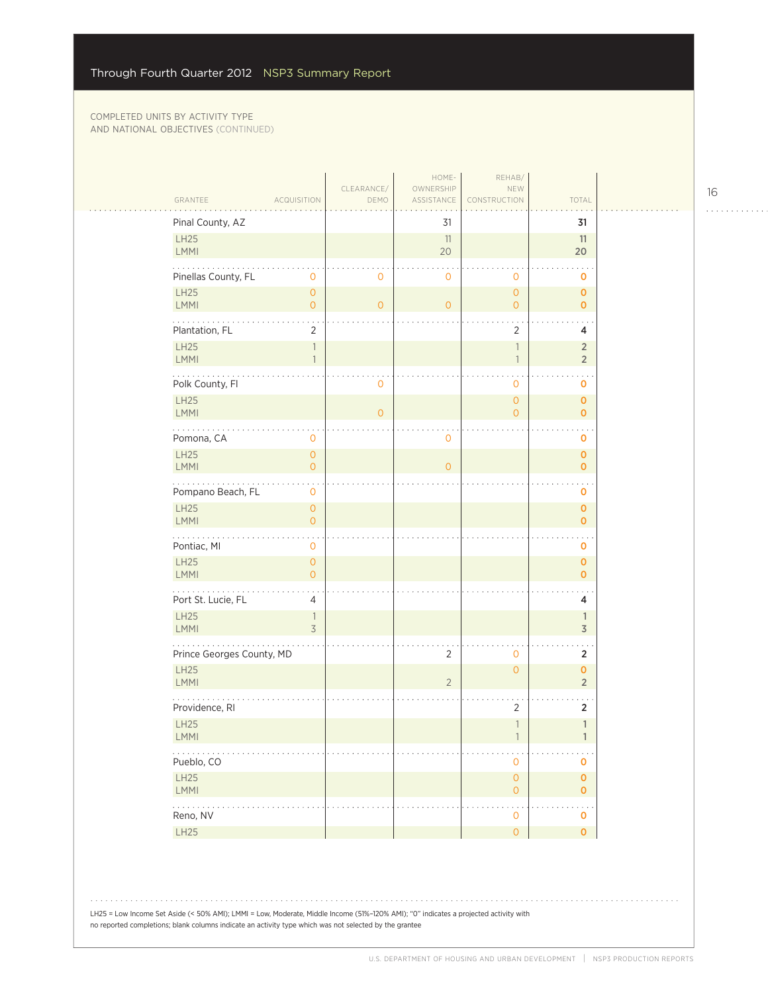| GRANTEE<br><b>ACQUISITION</b>                                       | CLEARANCE/<br>DEMO | HOME-<br>OWNERSHIP<br>ASSISTANCE | REHAB/<br>NEW<br>CONSTRUCTION         | TOTAL                                   |  |
|---------------------------------------------------------------------|--------------------|----------------------------------|---------------------------------------|-----------------------------------------|--|
| Pinal County, AZ                                                    |                    | 31                               |                                       | 31                                      |  |
| <b>LH25</b><br>LMMI                                                 |                    | 11<br>20                         |                                       | 11<br>20                                |  |
| Pinellas County, FL<br>$\mathbf 0$                                  | 0                  | $\mathbf 0$                      | $\mathbf 0$                           | $\mathbf 0$                             |  |
| <b>LH25</b><br>$\mathsf{O}\xspace$<br>LMMI<br>$\overline{O}$        | $\overline{O}$     | $\overline{O}$                   | $\mathbf 0$<br>$\overline{O}$         | $\pmb{0}$<br>$\mathbf 0$                |  |
| Plantation, FL<br>2                                                 |                    |                                  | $\overline{2}$                        | 4                                       |  |
| <b>LH25</b><br>$\ensuremath{\mathbb{I}}$<br>LMMI<br>$\overline{1}$  |                    |                                  | 1<br>1                                | $\overline{2}$<br>$\overline{2}$        |  |
| Polk County, Fl                                                     | 0                  |                                  | $\mathbf 0$                           | o                                       |  |
| <b>LH25</b><br>LMMI                                                 | $\overline{O}$     |                                  | $\mathsf{O}\xspace$<br>$\overline{O}$ | $\mathbf{O}$<br>$\mathbf 0$             |  |
| Pomona, CA<br>0                                                     |                    | $\mathbf 0$                      |                                       | $\ddotsc$<br>0                          |  |
| <b>LH25</b><br>$\mathsf{O}\xspace$<br><b>LMMI</b><br>$\overline{0}$ |                    | $\overline{0}$                   |                                       | $\mathbf 0$<br>$\mathbf{O}$             |  |
| .<br>. .<br>Pompano Beach, FL<br>$\mathbf 0$                        |                    |                                  |                                       | $\ddotsc$<br>$\mathbf 0$                |  |
| <b>LH25</b><br>$\mathsf{O}\xspace$<br>LMMI<br>$\overline{O}$        |                    |                                  |                                       | $\mathbf{O}$<br>$\mathbf{o}$            |  |
| Pontiac, MI<br>$\mathbf 0$                                          |                    |                                  |                                       | 0                                       |  |
| LH25<br>$\mathsf{O}\xspace$<br><b>LMMI</b><br>$\overline{O}$        |                    |                                  |                                       | $\mathbf{o}$<br>$\mathbf 0$             |  |
| .<br>Port St. Lucie, FL<br>4                                        |                    |                                  |                                       | 4                                       |  |
| LH25<br>$\overline{\phantom{a}}$<br>$\overline{3}$<br>LMMI          |                    |                                  |                                       | $\mathbb{1}$<br>$\overline{\mathsf{3}}$ |  |
| Prince Georges County, MD                                           |                    | $\overline{2}$                   | $\overline{0}$                        | $\overline{2}$                          |  |
| <b>LH25</b><br>LMMI                                                 |                    | $\overline{2}$                   | $\overline{0}$                        | $\mathbf{O}$<br>$\overline{2}$          |  |
| Providence, RI                                                      |                    |                                  | 2                                     | $\overline{2}$                          |  |
| <b>LH25</b><br><b>LMMI</b>                                          |                    |                                  | $\overline{\phantom{a}}$              | 1<br>1                                  |  |
| .<br>Pueblo, CO                                                     |                    |                                  | $\mathbf 0$                           | 0                                       |  |
| LH25<br>LMMI                                                        |                    |                                  | $\mathsf{O}$<br>$\mathsf{O}\xspace$   | $\pmb{0}$<br>$\mathbf{O}$               |  |
| .<br>Reno, NV                                                       |                    |                                  | $\ddotsc$<br>$\mathbf 0$              | $\sim$ $\sim$<br>$\mathbf 0$            |  |
| LH25                                                                |                    |                                  | $\circ$                               | $\pmb{\mathsf{O}}$                      |  |

. . . . . . . . . . . .

 $\mathbb{R}$  . .

LH25 = Low Income Set Aside (< 50% AMI); LMMI = Low, Moderate, Middle Income (51%–120% AMI); "0" indicates a projected activity with no reported completions; blank columns indicate an activity type which was not selected by the grantee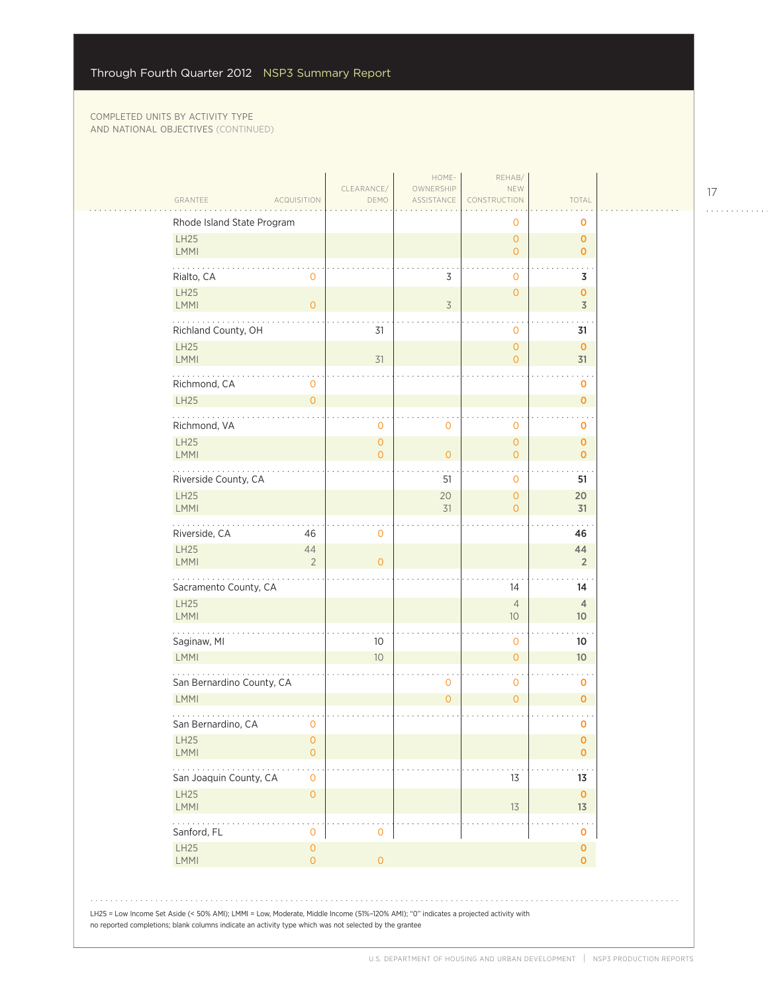|          | GRANTEE<br><b>ACQUISITION</b>                                     | CLEARANCE/<br>DEMO             | HOME-<br>OWNERSHIP<br>ASSISTANCE | REHAB/<br>NEW<br>CONSTRUCTION     | TOTAL                             |
|----------|-------------------------------------------------------------------|--------------------------------|----------------------------------|-----------------------------------|-----------------------------------|
|          | Rhode Island State Program                                        |                                |                                  | 0                                 | o                                 |
|          | <b>LH25</b><br>LMMI                                               |                                |                                  | $\overline{O}$<br>$\overline{O}$  | $\mathbf 0$<br>$\mathbf{O}$       |
|          | Rialto, CA<br>0                                                   |                                | 3                                | 0                                 | 3                                 |
|          | LH25<br><b>LMMI</b><br>$\mathbf{O}$                               |                                | $\overline{3}$                   | $\mathbf 0$                       | 0<br>$\overline{3}$               |
|          | Richland County, OH                                               | 31                             |                                  | $\mathbf 0$                       | 31                                |
|          | LH25<br><b>LMMI</b>                                               | 31                             |                                  | $\overline{O}$<br>0               | $\mathbf 0$<br>31                 |
|          | Richmond, CA<br>$\mathbf 0$                                       |                                |                                  |                                   | o                                 |
|          | <b>LH25</b><br>$\mathsf{O}\xspace$                                |                                |                                  |                                   | $\mathbf{O}$                      |
|          | Richmond, VA                                                      | 0                              | 0                                | 0                                 | 0                                 |
|          | LH25<br>LMMI                                                      | $\mathbf{O}$<br>$\overline{O}$ | $\overline{0}$                   | $\circ$<br>$\overline{O}$         | $\mathbf 0$<br>$\mathbf{O}$       |
|          | .<br>Riverside County, CA                                         |                                | 51                               | 0                                 | 51                                |
|          | LH25<br><b>LMMI</b>                                               |                                | 20<br>31                         | $\circ$<br>$\overline{O}$         | 20<br>31                          |
|          | Riverside, CA<br>46                                               | $\mathbf{O}$                   |                                  |                                   | 46                                |
|          | <b>LH25</b><br>44<br><b>LMMI</b><br>$\overline{2}$                | $\Omega$                       |                                  |                                   | 44<br>$\overline{2}$              |
|          | Sacramento County, CA                                             |                                |                                  | 14                                | 14                                |
|          | <b>LH25</b><br><b>LMMI</b>                                        |                                |                                  | $\overline{4}$<br>10 <sup>°</sup> | $\overline{4}$<br>10 <sup>°</sup> |
|          | Saginaw, MI                                                       | 10                             |                                  | 0                                 | 10                                |
|          | LMMI                                                              | 10                             |                                  | $\circ$                           | 10                                |
|          | San Bernardino County, CA                                         |                                | 0                                | 0                                 | 0                                 |
|          | LMMI                                                              |                                | $\overline{O}$                   | $\overline{O}$                    | $\mathbf 0$                       |
|          | San Bernardino, CA<br>$\mathbf 0$                                 |                                |                                  |                                   | $\mathbf 0$                       |
|          | LH25<br>$\mathsf{O}\xspace$<br><b>LMMI</b><br>$\mathsf{O}\xspace$ |                                |                                  |                                   | $\mathbf 0$<br>0                  |
| $\cdots$ | San Joaquin County, CA<br>$\mathsf{O}\xspace$                     |                                |                                  | 13                                | 13                                |
|          | LH25<br>$\mathsf{O}\xspace$<br><b>LMMI</b>                        |                                |                                  | 13                                | $\mathbf 0$<br>13                 |
|          | .<br>Sanford, FL<br>0                                             | 0                              |                                  |                                   | 0                                 |
|          | LH25<br>$\mathsf{O}\xspace$<br><b>LMMI</b><br>$\overline{O}$      | $\overline{O}$                 |                                  |                                   | 0<br>0                            |

17

. . . . . . . . . . . .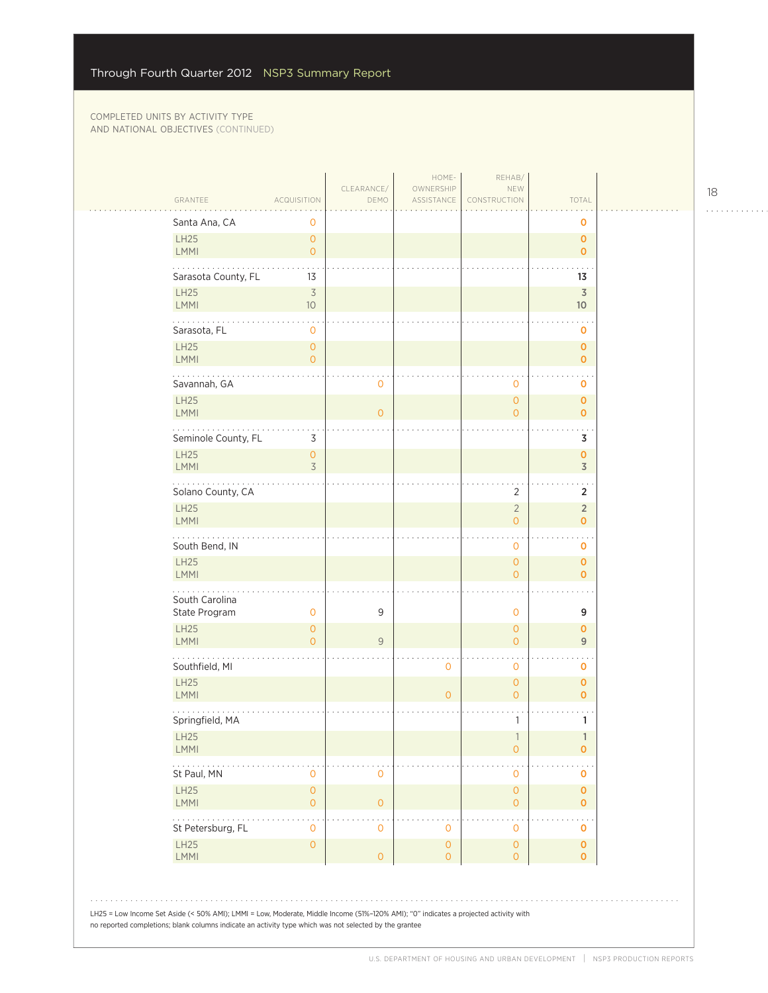| GRANTEE                         | <b>ACQUISITION</b>             | CLEARANCE/<br>DEMO  | HOME-<br>OWNERSHIP<br>ASSISTANCE           | REHAB/<br>NEW<br>CONSTRUCTION    | TOTAL                           |
|---------------------------------|--------------------------------|---------------------|--------------------------------------------|----------------------------------|---------------------------------|
| Santa Ana, CA                   | 0                              |                     |                                            |                                  | 0                               |
| <b>LH25</b><br><b>LMMI</b>      | 0<br>$\overline{0}$            |                     |                                            |                                  | $\mathbf 0$<br>$\mathbf 0$      |
| Sarasota County, FL             | 13                             |                     |                                            |                                  | 13                              |
| <b>LH25</b><br><b>LMMI</b>      | $\overline{\mathcal{S}}$<br>10 |                     |                                            |                                  | $\overline{\mathsf{3}}$<br>$10$ |
| Sarasota, FL                    | 0                              |                     |                                            |                                  | o                               |
| <b>LH25</b><br>LMMI             | $\mathbf 0$<br>0               |                     |                                            |                                  | $\mathbf 0$<br>$\mathbf 0$      |
| Savannah, GA                    |                                | $\mathbf 0$         |                                            | 0                                | $\sim$<br>0                     |
| <b>LH25</b><br>LMMI             |                                | $\overline{O}$      |                                            | $\overline{0}$<br>$\overline{O}$ | $\mathbf 0$<br>$\mathbf 0$      |
| Seminole County, FL             | $\mathsf 3$                    |                     |                                            |                                  | 3                               |
| <b>LH25</b><br>LMMI             | $\mathbf 0$<br>$\overline{3}$  |                     |                                            |                                  | $\pmb{0}$<br>$\overline{3}$     |
| Solano County, CA               |                                |                     |                                            | $\overline{2}$                   | $\overline{2}$                  |
| <b>LH25</b><br>LMMI             |                                |                     |                                            | $\overline{2}$<br>$\overline{O}$ | $\sqrt{2}$<br>$\mathbf 0$       |
| South Bend, IN                  |                                |                     |                                            | 0                                | 0                               |
| <b>LH25</b><br><b>LMMI</b>      |                                |                     |                                            | $\mathbf{0}$<br>$\overline{0}$   | $\mathbf 0$<br>$\mathbf 0$      |
| South Carolina<br>State Program | 0                              | 9                   |                                            | 0                                | 9                               |
| <b>LH25</b><br><b>LMMI</b>      | 0<br>$\overline{0}$            | 9                   |                                            | $\mathbf{0}$<br>$\overline{O}$   | $\mathbf 0$<br>$\overline{9}$   |
| Southfield, MI                  |                                |                     | $\mathbf 0$                                | 0                                | 0                               |
| <b>LH25</b><br>LMMI             |                                |                     | $\circ$                                    | $\mathbf{0}$<br>$\overline{O}$   | $\mathbf 0$<br>$\mathbf 0$      |
| Springfield, MA                 |                                |                     |                                            | 1                                | 1                               |
| LH25<br><b>LMMI</b>             |                                |                     |                                            | 1<br>$\mathsf{O}\xspace$         | 1<br>$\mathbf 0$                |
| St Paul, MN                     | 0                              | $\mathbf 0$         |                                            | 0                                | 0                               |
| <b>LH25</b><br>LMMI             | $\mathbf 0$<br>0               | $\mathsf{O}\xspace$ |                                            | $\mathsf{O}\xspace$<br>0         | $\mathbf 0$<br>$\mathbf 0$      |
| St Petersburg, FL               | 0                              | $\mathbf 0$         | $\mathbf 0$                                | 0                                | $\sim$ $\sim$<br>0              |
| <b>LH25</b>                     | $\mathbf{O}$                   | $\mathsf{O}\xspace$ | $\mathsf{O}\xspace$<br>$\mathsf{O}\xspace$ | $\mathbf 0$<br>0                 | 0<br>$\pmb{0}$                  |

 $\begin{array}{cccccccccccccc} . & . & . & . & . & . & . & . & . & . & . & . & . \end{array}$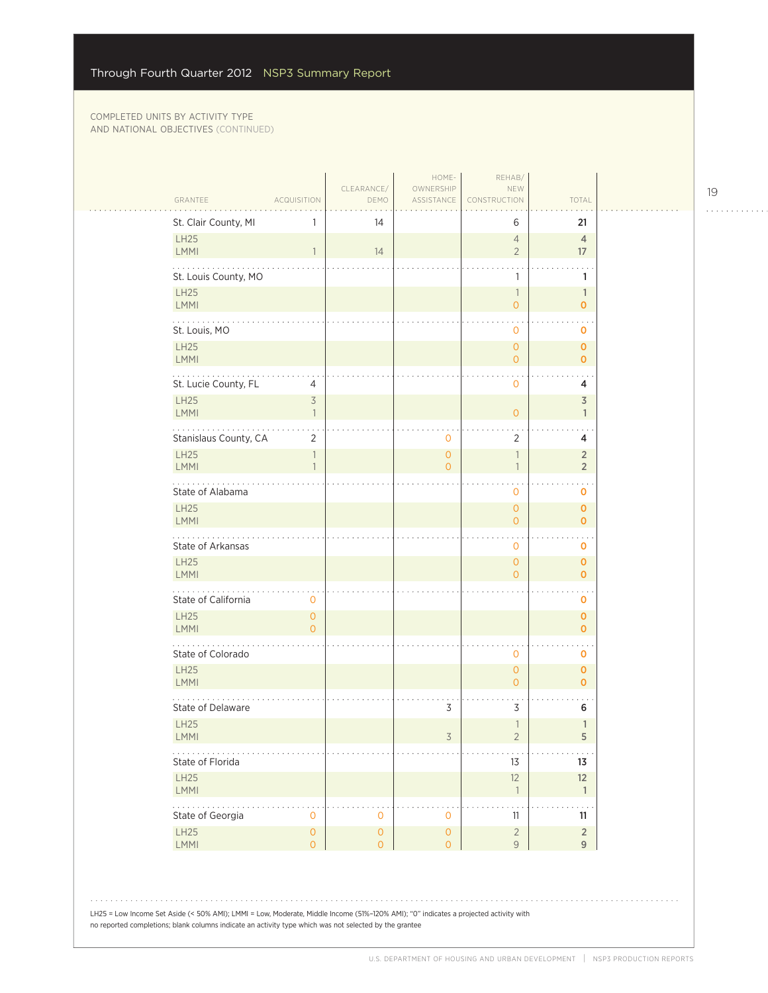$\mathcal{L}_{\mathcal{A}}$ 

| GRANTEE                            | ACQUISITION                              | CLEARANCE/<br>DEMO                         | OWNERSHIP<br>ASSISTANCE               | NEW<br>CONSTRUCTION              | TOTAL                              |
|------------------------------------|------------------------------------------|--------------------------------------------|---------------------------------------|----------------------------------|------------------------------------|
| St. Clair County, MI               | 1                                        | 14                                         |                                       | 6                                | 21                                 |
| LH25<br><b>LMMI</b>                | $\mathbf{1}$                             | 14                                         |                                       | $\overline{4}$<br>$\overline{2}$ | $\overline{4}$<br>17               |
| St. Louis County, MO               |                                          |                                            |                                       | 1                                | 1                                  |
| LH25<br><b>LMMI</b>                |                                          |                                            |                                       | $\mathbf{1}$<br>$\overline{O}$   | $\mathbf{1}$<br>$\mathbf 0$        |
| المتحدث والمنافذة<br>St. Louis, MO |                                          |                                            |                                       | 0                                | o                                  |
| LH25<br>LMMI                       |                                          |                                            |                                       | $\mathbf{O}$<br>$\overline{O}$   | $\mathbf 0$<br>$\mathbf{O}$        |
| St. Lucie County, FL               | $\overline{4}$                           |                                            |                                       | $\mathbf 0$                      | 4                                  |
| <b>LH25</b><br><b>LMMI</b>         | $\overline{\mathcal{S}}$<br>$\mathbf{1}$ |                                            |                                       | $\overline{O}$                   | $\overline{3}$<br>$\mathbf{1}$     |
| Stanislaus County, CA              | $\overline{2}$                           |                                            | 0                                     | $\overline{2}$                   | 4                                  |
| <b>LH25</b><br>LMMI                | 1<br>1                                   |                                            | $\overline{O}$<br>$\overline{O}$      | $\mathbf{1}$<br>$\mathbf{1}$     | $\overline{2}$<br>$\sqrt{2}$       |
| State of Alabama                   |                                          |                                            |                                       | $\mathbf 0$                      | $\ddotsc$<br>o                     |
| <b>LH25</b><br>LMMI                |                                          |                                            |                                       | $\mathbf{O}$<br>$\overline{O}$   | $\pmb{\mathsf{O}}$<br>$\mathbf{O}$ |
| State of Arkansas                  |                                          |                                            |                                       | $\mathbf 0$                      | $\sim$ $\sim$<br>$\mathbf 0$       |
| <b>LH25</b><br>LMMI                |                                          |                                            |                                       | $\mathbf{O}$<br>$\Omega$         | $\mathbf 0$<br>$\mathbf 0$         |
| .<br>State of California           | 0                                        |                                            |                                       |                                  | 0                                  |
| LH25<br><b>LMMI</b>                | $\overline{O}$<br>$\Omega$               |                                            |                                       |                                  | $\mathbf 0$<br>$\mathbf 0$         |
| State of Colorado                  |                                          |                                            |                                       | $\mathbf 0$                      | $\ddotsc$<br>0                     |
| <b>LH25</b><br><b>LMMI</b>         |                                          |                                            |                                       | $\mathbf{O}$<br>$\overline{O}$   | $\pmb{\mathsf{O}}$<br>$\mathbf{O}$ |
| State of Delaware                  |                                          |                                            | 3                                     | 3                                | 6                                  |
| <b>LH25</b><br><b>LMMI</b>         |                                          |                                            | 3                                     | $\mathbf{1}$<br>$\overline{2}$   | $\mathbb{1}$<br>5                  |
| State of Florida                   |                                          |                                            |                                       | $13$                             | 13                                 |
| LH25<br>LMMI                       |                                          |                                            |                                       | 12<br>$\overline{1}$             | 12<br>$\mathbf{1}$                 |
| .<br>State of Georgia              | $\mathbf 0$                              | $\mathsf{O}\xspace$                        | $\mathbf 0$                           | 11                               | 11                                 |
| LH25<br>LMMI                       | $\mathsf{O}\xspace$<br>$\overline{O}$    | $\mathsf{O}\xspace$<br>$\mathsf{O}\xspace$ | $\mathsf{O}\xspace$<br>$\overline{O}$ | $\sqrt{2}$<br>$\overline{9}$     | $\sqrt{2}$<br>$\overline{9}$       |

LH25 = Low Income Set Aside (< 50% AMI); LMMI = Low, Moderate, Middle Income (51%–120% AMI); "0" indicates a projected activity with no reported completions; blank columns indicate an activity type which was not selected by the grantee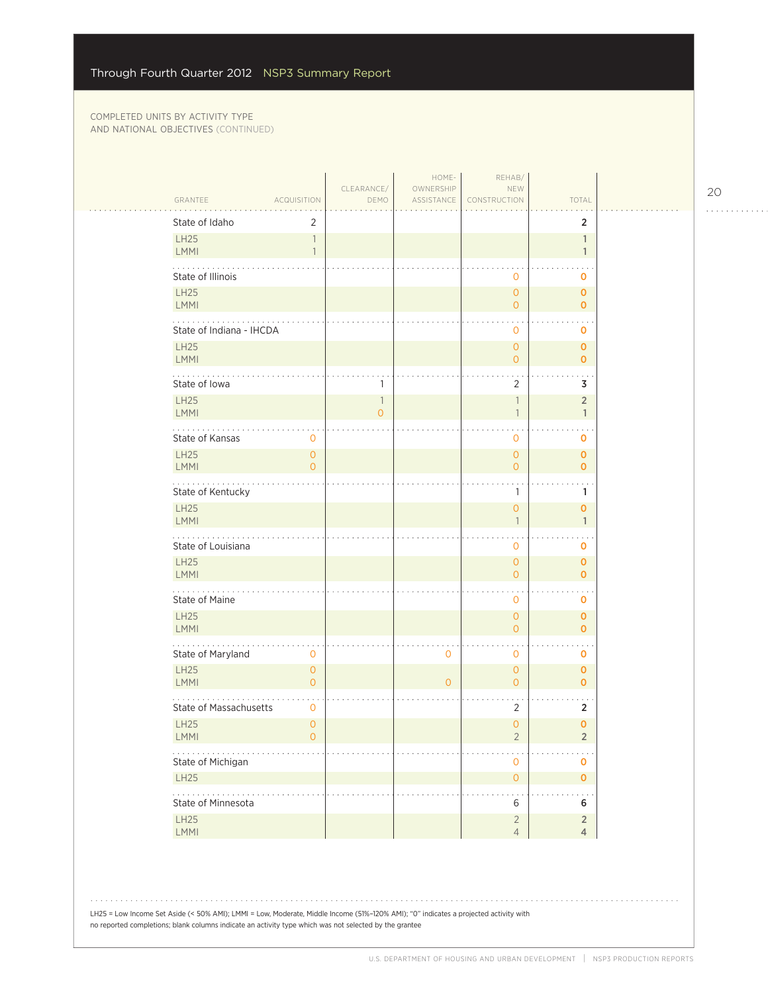| GRANTEE<br><b>ACQUISITION</b>                                  | CLEARANCE/<br>DEMO             | HOME-<br>OWNERSHIP<br>ASSISTANCE | REHAB/<br>NEW<br>CONSTRUCTION            | TOTAL                            |  |
|----------------------------------------------------------------|--------------------------------|----------------------------------|------------------------------------------|----------------------------------|--|
| State of Idaho<br>2                                            |                                |                                  |                                          | $\overline{2}$                   |  |
| <b>LH25</b><br>$\overline{1}$<br><b>LMMI</b><br>$\overline{1}$ |                                |                                  |                                          | $\mathbf{1}$<br>$\mathbf{1}$     |  |
| State of Illinois                                              |                                |                                  | $\mathbf{0}$                             | O                                |  |
| <b>LH25</b><br>LMMI                                            |                                |                                  | $\overline{0}$<br>$\overline{O}$         | $\mathbf 0$<br>$\overline{O}$    |  |
| State of Indiana - IHCDA                                       |                                |                                  | 0                                        | O                                |  |
| <b>LH25</b><br><b>LMMI</b>                                     |                                |                                  | $\overline{0}$<br>$\overline{0}$         | $\mathbf{O}$<br>$\mathbf{O}$     |  |
| State of Iowa                                                  |                                |                                  | 2                                        | 3                                |  |
| LH25<br><b>LMMI</b>                                            | $\mathbb{1}$<br>$\overline{O}$ |                                  | 1<br>1                                   | $\overline{2}$<br>$\mathbf{1}$   |  |
| State of Kansas<br>$\mathbf 0$                                 |                                |                                  | 0                                        | O                                |  |
| <b>LH25</b><br>$\mathbf{O}$<br>LMMI<br>$\Omega$                |                                |                                  | $\mathbf{O}$<br>$\overline{O}$           | $\mathbf 0$<br>$\overline{O}$    |  |
| .<br>State of Kentucky                                         |                                |                                  | 1                                        | 1                                |  |
| LH25<br><b>LMMI</b>                                            |                                |                                  | $\mathbf{0}$<br>$\overline{\phantom{a}}$ | $\mathbf{o}$<br>$\mathbf{1}$     |  |
| State of Louisiana                                             |                                |                                  | $\mathbf{O}$                             | O                                |  |
| <b>LH25</b><br>LMMI                                            |                                |                                  | $\overline{0}$<br>$\overline{O}$         | $\mathbf{O}$<br>$\overline{0}$   |  |
| State of Maine                                                 |                                |                                  | $\circ$                                  | $\mathbf 0$                      |  |
| <b>LH25</b><br><b>LMMI</b>                                     |                                |                                  | $\overline{0}$<br>$\overline{O}$         | $\mathbf 0$<br>$\overline{O}$    |  |
| State of Maryland<br>$\mathbf 0$                               |                                | $\mathbf 0$                      | 0                                        | O                                |  |
| <b>LH25</b><br>$\overline{O}$<br>LMMI<br>$\overline{O}$        |                                | $\mathbf{O}$                     | $\overline{0}$<br>$\overline{O}$         | $\mathbf{O}$<br>$\mathbf{O}$     |  |
| State of Massachusetts<br>$\mathbf 0$                          |                                |                                  | $\overline{2}$                           | 2                                |  |
| <b>LH25</b><br>$\mathbf{O}$<br>LMMI<br>$\mathbf{0}$            |                                |                                  | $\overline{0}$<br>$\overline{2}$         | $\mathbf 0$<br>$\overline{2}$    |  |
| .<br>State of Michigan                                         |                                |                                  | $\mathbf 0$                              | $\mathbf 0$                      |  |
| LH25                                                           |                                |                                  | $\circ$                                  | $\mathbf 0$                      |  |
| .<br>State of Minnesota                                        |                                |                                  | 6                                        | 6                                |  |
| LH25<br>LMMI                                                   |                                |                                  | $\overline{2}$<br>$\overline{4}$         | $\overline{2}$<br>$\overline{4}$ |  |
|                                                                |                                |                                  |                                          |                                  |  |

LH25 = Low Income Set Aside (< 50% AMI); LMMI = Low, Moderate, Middle Income (51%–120% AMI); "0" indicates a projected activity with no reported completions; blank columns indicate an activity type which was not selected by the grantee

. . . . . . . . . . . .

l,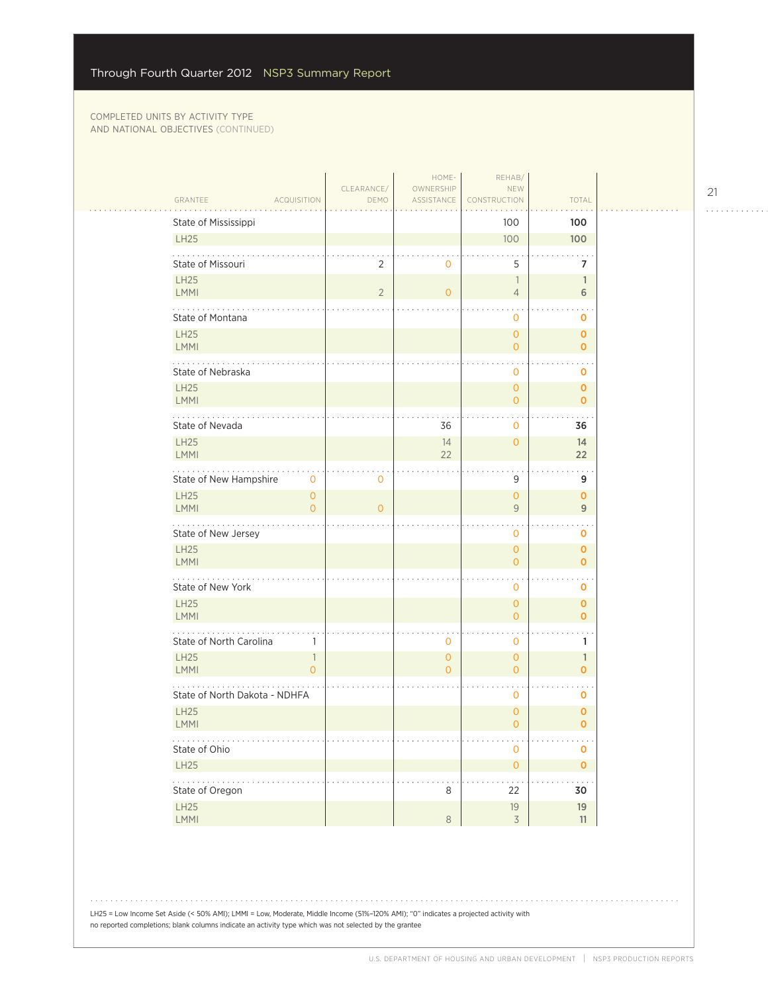| GRANTEE<br><b>ACQUISITION</b>                         | CLEARANCE/<br>DEMO | HOME-<br>OWNERSHIP<br>ASSISTANCE | REHAB/<br>NEW<br><b>CONSTRUCTION</b>       | TOTAL                               |
|-------------------------------------------------------|--------------------|----------------------------------|--------------------------------------------|-------------------------------------|
| State of Mississippi                                  |                    |                                  | 100                                        | 100                                 |
| LH25                                                  |                    |                                  | 100                                        | 100                                 |
| State of Missouri                                     | $\overline{2}$     | $\mathbf 0$                      | 5                                          | 7                                   |
| <b>LH25</b><br><b>LMMI</b>                            | $\overline{2}$     | $\mathbf{O}$                     | $\overline{\phantom{a}}$<br>$\overline{4}$ | $\mathbb{1}$<br>6                   |
| State of Montana                                      |                    |                                  | $\mathbf 0$                                | $\ddot{\phantom{1}}$<br>$\mathbf 0$ |
| <b>LH25</b><br>LMMI                                   |                    |                                  | $\mathbf{O}$<br>$\overline{0}$             | $\mathbf 0$<br>$\mathbf{O}$         |
| .<br>State of Nebraska                                |                    |                                  | $\mathbf 0$                                | $\sim$ $\sim$<br>O                  |
| <b>LH25</b><br><b>LMMI</b>                            |                    |                                  | $\overline{0}$<br>$\overline{0}$           | $\mathbf{O}$<br>$\mathbf{O}$        |
| State of Nevada                                       |                    | 36                               | $\overline{0}$                             | 36                                  |
| LH25<br><b>LMMI</b>                                   |                    | 14<br>22                         | $\overline{0}$                             | 14<br>22                            |
| .<br>State of New Hampshire<br>$\mathbf{O}$           | $\circ$            |                                  | 9                                          | 9                                   |
| LH25<br>$\circ$<br>LMMI<br>$\overline{O}$             | $\Omega$           |                                  | $\overline{O}$<br>9                        | $\mathbf 0$<br>9                    |
| State of New Jersey                                   |                    |                                  | $\mathbf 0$                                | 0                                   |
| <b>LH25</b><br>LMMI                                   |                    |                                  | $\overline{O}$<br>$\overline{0}$           | $\mathbf{O}$<br>$\mathbf{O}$        |
| State of New York                                     |                    |                                  | $\mathbf 0$                                | 0                                   |
| <b>LH25</b><br>LMMI                                   |                    |                                  | $\overline{0}$<br>$\overline{0}$           | $\mathbf{O}$<br>$\mathbf 0$         |
| $\cdots$<br>State of North Carolina<br>$\mathbb{1}$   |                    | $\mathbf 0$                      | $\mathbf 0$                                | 1                                   |
| <b>LH25</b><br>$\mathbb{1}$<br>LMMI<br>$\overline{O}$ |                    | $\mathbf{O}$<br>$\Omega$         | $\mathbf{O}$<br>$\overline{0}$             | $\mathbb{1}$<br>$\mathbf{O}$        |
| State of North Dakota - NDHFA                         |                    |                                  | $\mathbf 0$                                | $\ddotsc$<br>0                      |
| <b>LH25</b><br>LMMI                                   |                    |                                  | $\mathbf{0}$<br>$\overline{O}$             | $\mathbf 0$<br>$\mathbf{O}$         |
| .<br>State of Ohio                                    |                    |                                  | $\mathbf 0$                                | $\sim 100$<br>$\mathbf 0$           |
| LH25                                                  |                    |                                  | $\mathsf{O}\xspace$                        | $\pmb{\mathsf{O}}$                  |
| 2000-00<br>State of Oregon                            |                    | 8                                | 22                                         | 30                                  |
| LH25<br>LMMI                                          |                    | $\,8\,$                          | $19$<br>$\overline{3}$                     | 19<br>11                            |

LH25 = Low Income Set Aside (< 50% AMI); LMMI = Low, Moderate, Middle Income (51%–120% AMI); "0" indicates a projected activity with no reported completions; blank columns indicate an activity type which was not selected by the grantee

. . . . . . . . . . . .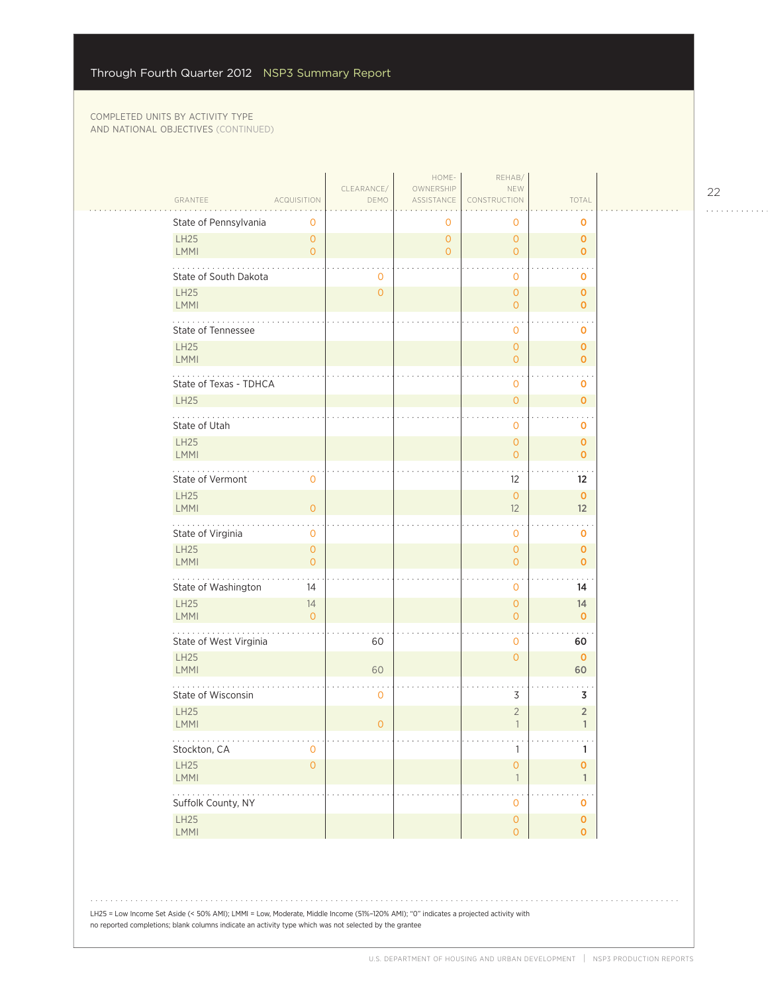|                                                         |                    | HOME-                            | REHAB/                                          |                                    |  |
|---------------------------------------------------------|--------------------|----------------------------------|-------------------------------------------------|------------------------------------|--|
| <b>ACQUISITION</b><br>GRANTEE                           | CLEARANCE/<br>DEMO | OWNERSHIP<br>ASSISTANCE          | NEW<br>CONSTRUCTION                             | TOTAL                              |  |
| State of Pennsylvania<br>$\mathbf 0$                    |                    | $\mathbf 0$                      | 0                                               | $\mathbf 0$                        |  |
| <b>LH25</b><br>$\overline{O}$<br>LMMI<br>$\overline{O}$ |                    | $\overline{0}$<br>$\overline{O}$ | $\circ$<br>$\overline{O}$                       | $\mathbf{O}$<br>$\overline{O}$     |  |
| State of South Dakota                                   | 0                  |                                  | 0                                               | 0                                  |  |
| LH25<br>LMMI                                            | $\overline{O}$     |                                  | $\overline{0}$<br>$\overline{O}$                | $\mathbf{O}$<br>$\mathbf{O}$       |  |
| .<br>State of Tennessee                                 |                    |                                  | 0                                               | 0                                  |  |
| LH25<br><b>LMMI</b>                                     |                    |                                  | $\overline{0}$<br>$\overline{O}$                | $\mathbf 0$<br>$\mathbf{0}$        |  |
| State of Texas - TDHCA                                  |                    |                                  | 0                                               | $\mathbf 0$                        |  |
| <b>LH25</b>                                             |                    |                                  | $\mathsf{O}\xspace$                             | $\mathbf{0}$                       |  |
| State of Utah                                           |                    |                                  | 0                                               | $\mathbf 0$                        |  |
| LH25<br>LMMI                                            |                    |                                  | $\mathbf{0}$<br>$\overline{0}$                  | $\mathbf{O}$<br>$\mathbf{0}$       |  |
| .<br>State of Vermont<br>$\circ$                        |                    |                                  | 12                                              | $12 \overline{ }$                  |  |
| LH25<br>LMMI<br>$\overline{O}$                          |                    |                                  | $\overline{0}$<br>12                            | $\mathbf{O}$<br>12                 |  |
| State of Virginia<br>$\mathbf 0$                        |                    |                                  | 0                                               | $\ddotsc$<br>$\mathbf 0$           |  |
| LH25<br>$\overline{0}$<br><b>LMMI</b><br>$\overline{O}$ |                    |                                  | $\overline{0}$<br>$\overline{O}$                | $\mathbf 0$<br>$\mathbf{0}$        |  |
| State of Washington<br>14                               |                    |                                  | 0                                               | 14                                 |  |
| <b>LH25</b><br>14<br>LMMI<br>$\Omega$                   |                    |                                  | $\overline{O}$<br>$\overline{O}$                | 14<br>$\mathbf{O}$                 |  |
| State of West Virginia                                  | 60                 |                                  | 0                                               | 60                                 |  |
| <b>LH25</b><br><b>LMMI</b>                              | 60                 |                                  | $\overline{O}$                                  | $\mathbf{0}$<br>60                 |  |
| State of Wisconsin                                      | 0                  |                                  | 3                                               | 3                                  |  |
| LH25<br><b>LMMI</b>                                     | 0                  |                                  | $\overline{2}$<br>$\overline{1}$                | $\overline{2}$<br>$\mathbf{1}$     |  |
| .<br>Stockton, CA<br>$\mathbf 0$                        |                    |                                  | 1                                               | $\ddot{\phantom{0}}$<br>1          |  |
| LH25<br>$\mathsf{O}\xspace$<br><b>LMMI</b>              |                    |                                  | $\mathsf{O}\xspace$<br>$\overline{\phantom{a}}$ | $\pmb{\mathsf{O}}$<br>$\mathbb{1}$ |  |
| .<br>Suffolk County, NY                                 |                    |                                  | 0                                               | o                                  |  |
| LH25<br>LMMI                                            |                    |                                  | $\mathsf{O}\xspace$<br>$\mathsf{O}\xspace$      | $\mathbf 0$<br>$\mathbf{O}$        |  |

LH25 = Low Income Set Aside (< 50% AMI); LMMI = Low, Moderate, Middle Income (51%–120% AMI); "0" indicates a projected activity with no reported completions; blank columns indicate an activity type which was not selected by the grantee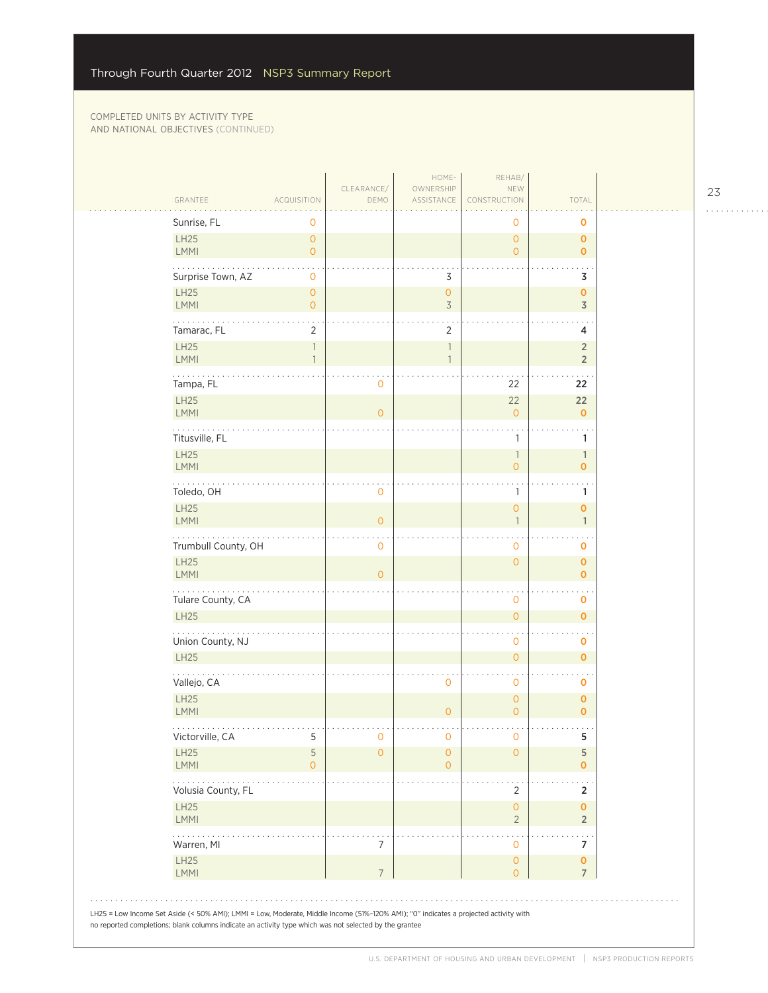| GRANTEE                                                                       | <b>ACQUISITION</b>                        | CLEARANCE/<br>DEMO | HOME-<br>OWNERSHIP<br>ASSISTANCE      | REHAB/<br>NEW<br>CONSTRUCTION         | TOTAL                            |  |
|-------------------------------------------------------------------------------|-------------------------------------------|--------------------|---------------------------------------|---------------------------------------|----------------------------------|--|
| Sunrise, FL                                                                   | 0                                         |                    |                                       | 0                                     | 0                                |  |
| LH25<br><b>LMMI</b>                                                           | $\circ$<br>$\circ$                        |                    |                                       | $\overline{O}$<br>$\overline{O}$      | $\mathbf{O}$<br>$\mathbf{O}$     |  |
| Surprise Town, AZ                                                             | $\mathbf 0$                               |                    | 3                                     |                                       | 3                                |  |
| <b>LH25</b><br><b>LMMI</b>                                                    | $\mathsf{O}\xspace$<br>$\circ$            |                    | $\mathsf{O}\xspace$<br>$\overline{3}$ |                                       | $\pmb{0}$<br>3                   |  |
| Tamarac, FL                                                                   | 2                                         |                    | $\overline{2}$                        |                                       | 4                                |  |
| LH25<br>LMMI                                                                  | $\ensuremath{\mathbb{I}}$<br>$\mathbf{1}$ |                    | $\overline{\phantom{a}}$              |                                       | $\overline{2}$<br>$\overline{2}$ |  |
| Tampa, FL                                                                     |                                           | 0                  |                                       | 22                                    | 22                               |  |
| LH25<br><b>LMMI</b>                                                           |                                           | $\overline{0}$     |                                       | 22<br>$\overline{O}$                  | 22<br>$\mathbf 0$                |  |
| Titusville, FL<br>LH25                                                        |                                           |                    |                                       | 1<br>1                                | 1<br>$\mathbf{1}$                |  |
| <b>LMMI</b>                                                                   |                                           |                    |                                       | $\overline{O}$                        | $\mathbf{O}$                     |  |
| Toledo, OH<br>LH25                                                            |                                           | O                  |                                       | 1<br>$\overline{O}$                   | 1<br>$\mathbf 0$                 |  |
| LMMI                                                                          |                                           | $\overline{0}$     |                                       | $\overline{1}$                        | $\mathbf{1}$                     |  |
| Trumbull County, OH<br><b>LH25</b>                                            |                                           | 0                  |                                       | $\mathbf{O}$<br>$\overline{0}$        | 0<br>$\mathbf 0$                 |  |
| <b>LMMI</b>                                                                   |                                           | $\overline{O}$     |                                       |                                       | $\mathbf{O}$                     |  |
| Tulare County, CA<br><b>LH25</b>                                              |                                           |                    |                                       | $\mathbf 0$<br>$\mathsf{O}\xspace$    | $\mathbf 0$<br>$\mathbf{o}$      |  |
| $\mathbf{r}$ , $\mathbf{r}$ , $\mathbf{r}$ , $\mathbf{r}$<br>Union County, NJ |                                           |                    |                                       | $\mathbf 0$                           | $\ddotsc$<br>$\mathbf 0$         |  |
| <b>LH25</b>                                                                   |                                           |                    |                                       | $\mathsf{O}\xspace$                   | $\mathbf{o}$                     |  |
| Vallejo, CA<br><b>LH25</b>                                                    |                                           |                    | 0                                     | $\mathbf 0$<br>$\circ$                | o<br>$\pmb{0}$                   |  |
| <b>LMMI</b>                                                                   |                                           |                    | $\overline{O}$                        | $\overline{0}$                        | $\mathbf 0$                      |  |
| Victorville, CA<br><b>LH25</b>                                                | 5<br>5                                    | 0<br>0             | $\mathbf 0$<br>$\mathbf 0$            | $\mathsf{O}\xspace$<br>$\overline{0}$ | 5<br>5                           |  |
| <b>LMMI</b>                                                                   | 0                                         |                    | $\overline{O}$                        |                                       | $\mathbf{O}$                     |  |
| Volusia County, FL<br><b>LH25</b>                                             |                                           |                    |                                       | $\overline{2}$<br>$\mathsf{O}\xspace$ | 2<br>$\mathbf 0$                 |  |
| <b>LMMI</b>                                                                   |                                           |                    |                                       | $\overline{2}$                        | $\overline{2}$                   |  |
| $\cdots$<br>Warren, MI<br>LH25                                                |                                           | 7                  |                                       | $\mathbf 0$<br>$\mathsf{O}\xspace$    | 7<br>$\pmb{\mathsf{O}}$          |  |
| <b>LMMI</b>                                                                   |                                           | $\overline{7}$     |                                       | $\overline{0}$                        | $\overline{7}$                   |  |